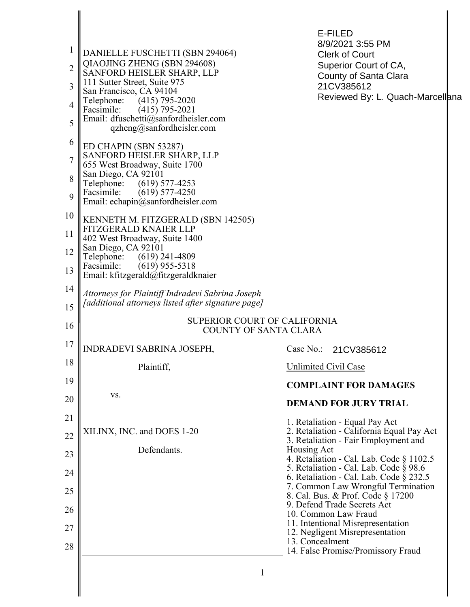| $\mathbf 1$<br>$\overline{2}$<br>3<br>4<br>5<br>6<br>$\overline{7}$<br>8<br>9<br>10<br>11 | DANIELLE FUSCHETTI (SBN 294064)<br>QIAOJING ZHENG (SBN 294608)<br>SANFORD HEISLER SHARP, LLP<br>111 Sutter Street, Suite 975<br>San Francisco, CA 94104<br>Telephone: (415) 795-2020<br>Facsimile: (415) 795-2021<br>Email: dfuschetti@sanfordheisler.com<br>qzheng@sanfordheisler.com<br>ED CHAPIN (SBN 53287)<br>SANFORD HEISLER SHARP, LLP<br>655 West Broadway, Suite 1700<br>San Diego, CA 92101<br>Telephone:<br>$(619)$ 577-4253<br>Facsimile: (619) 577-4250<br>Email: echapin@sanfordheisler.com<br>KENNETH M. FITZGERALD (SBN 142505)<br>FITZGERALD KNAIER LLP<br>402 West Broadway, Suite 1400<br>San Diego, CA 92101 | E-FILED<br>8/9/2021 3:55 PM<br><b>Clerk of Court</b><br>Superior Court of CA,<br>County of Santa Clara<br>21CV385612<br>Reviewed By: L. Quach-Marcellana |  |
|-------------------------------------------------------------------------------------------|----------------------------------------------------------------------------------------------------------------------------------------------------------------------------------------------------------------------------------------------------------------------------------------------------------------------------------------------------------------------------------------------------------------------------------------------------------------------------------------------------------------------------------------------------------------------------------------------------------------------------------|----------------------------------------------------------------------------------------------------------------------------------------------------------|--|
| 12<br>13                                                                                  | Telephone: (619) 241-4809<br>Facsimile:<br>$(619)$ 955-5318<br>Email: kfitzgerald@fitzgeraldknaier                                                                                                                                                                                                                                                                                                                                                                                                                                                                                                                               |                                                                                                                                                          |  |
| 14<br>15                                                                                  | Attorneys for Plaintiff Indradevi Sabrina Joseph<br>[additional attorneys listed after signature page]                                                                                                                                                                                                                                                                                                                                                                                                                                                                                                                           |                                                                                                                                                          |  |
| 16                                                                                        | <b>SUPERIOR COURT OF CALIFORNIA</b><br><b>COUNTY OF SANTA CLARA</b>                                                                                                                                                                                                                                                                                                                                                                                                                                                                                                                                                              |                                                                                                                                                          |  |
| 17                                                                                        | <b>INDRADEVI SABRINA JOSEPH.</b>                                                                                                                                                                                                                                                                                                                                                                                                                                                                                                                                                                                                 | Case No.:<br>21CV385612                                                                                                                                  |  |
| 18                                                                                        | Plaintiff,                                                                                                                                                                                                                                                                                                                                                                                                                                                                                                                                                                                                                       | <b>Unlimited Civil Case</b>                                                                                                                              |  |
| 19                                                                                        | VS.                                                                                                                                                                                                                                                                                                                                                                                                                                                                                                                                                                                                                              | <b>COMPLAINT FOR DAMAGES</b>                                                                                                                             |  |
| 20                                                                                        |                                                                                                                                                                                                                                                                                                                                                                                                                                                                                                                                                                                                                                  | <b>DEMAND FOR JURY TRIAL</b>                                                                                                                             |  |
| 21                                                                                        | XILINX, INC. and DOES 1-20                                                                                                                                                                                                                                                                                                                                                                                                                                                                                                                                                                                                       | 1. Retaliation - Equal Pay Act<br>2. Retaliation - California Equal Pay Act                                                                              |  |
| 22<br>23                                                                                  | Defendants.                                                                                                                                                                                                                                                                                                                                                                                                                                                                                                                                                                                                                      | 3. Retaliation - Fair Employment and<br>Housing Act                                                                                                      |  |
| 24                                                                                        |                                                                                                                                                                                                                                                                                                                                                                                                                                                                                                                                                                                                                                  | 4. Retaliation - Cal. Lab. Code § 1102.5<br>5. Retaliation - Cal. Lab. Code § 98.6                                                                       |  |
| 25                                                                                        |                                                                                                                                                                                                                                                                                                                                                                                                                                                                                                                                                                                                                                  | 6. Retaliation - Cal. Lab. Code § 232.5<br>7. Common Law Wrongful Termination<br>8. Cal. Bus. & Prof. Code § 17200                                       |  |
| 26                                                                                        |                                                                                                                                                                                                                                                                                                                                                                                                                                                                                                                                                                                                                                  | 9. Defend Trade Secrets Act<br>10. Common Law Fraud                                                                                                      |  |
| 27                                                                                        |                                                                                                                                                                                                                                                                                                                                                                                                                                                                                                                                                                                                                                  | 11. Intentional Misrepresentation<br>12. Negligent Misrepresentation                                                                                     |  |
| 28                                                                                        |                                                                                                                                                                                                                                                                                                                                                                                                                                                                                                                                                                                                                                  | 13. Concealment<br>14. False Promise/Promissory Fraud                                                                                                    |  |
|                                                                                           |                                                                                                                                                                                                                                                                                                                                                                                                                                                                                                                                                                                                                                  |                                                                                                                                                          |  |

I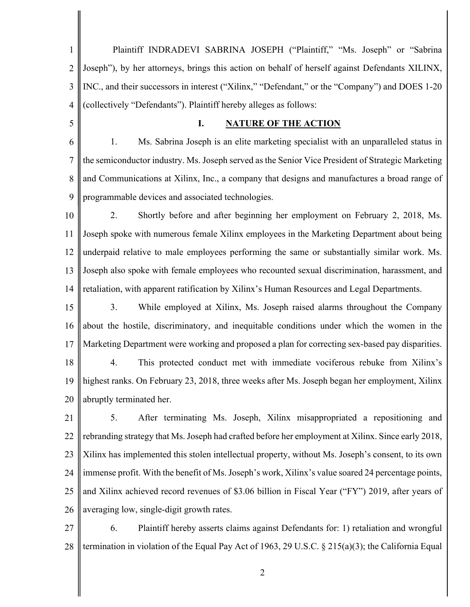1 2 3 4 5 6 7 8 9 10 11 12 13 14 15 16 17 18 19 20 21 22 23 Plaintiff INDRADEVI SABRINA JOSEPH ("Plaintiff," "Ms. Joseph" or "Sabrina Joseph"), by her attorneys, brings this action on behalf of herself against Defendants XILINX, INC., and their successors in interest ("Xilinx," "Defendant," or the "Company") and DOES 1-20 (collectively "Defendants"). Plaintiff hereby alleges as follows: **I. NATURE OF THE ACTION**  1. Ms. Sabrina Joseph is an elite marketing specialist with an unparalleled status in the semiconductor industry. Ms. Joseph served as the Senior Vice President of Strategic Marketing and Communications at Xilinx, Inc., a company that designs and manufactures a broad range of programmable devices and associated technologies. 2. Shortly before and after beginning her employment on February 2, 2018, Ms. Joseph spoke with numerous female Xilinx employees in the Marketing Department about being underpaid relative to male employees performing the same or substantially similar work. Ms. Joseph also spoke with female employees who recounted sexual discrimination, harassment, and retaliation, with apparent ratification by Xilinx's Human Resources and Legal Departments. 3. While employed at Xilinx, Ms. Joseph raised alarms throughout the Company about the hostile, discriminatory, and inequitable conditions under which the women in the Marketing Department were working and proposed a plan for correcting sex-based pay disparities. 4. This protected conduct met with immediate vociferous rebuke from Xilinx's highest ranks. On February 23, 2018, three weeks after Ms. Joseph began her employment, Xilinx abruptly terminated her. 5. After terminating Ms. Joseph, Xilinx misappropriated a repositioning and rebranding strategy that Ms. Joseph had crafted before her employment at Xilinx. Since early 2018, Xilinx has implemented this stolen intellectual property, without Ms. Joseph's consent, to its own

24 25 26 immense profit. With the benefit of Ms. Joseph's work, Xilinx's value soared 24 percentage points, and Xilinx achieved record revenues of \$3.06 billion in Fiscal Year ("FY") 2019, after years of averaging low, single-digit growth rates.

27 28 6. Plaintiff hereby asserts claims against Defendants for: 1) retaliation and wrongful termination in violation of the Equal Pay Act of 1963, 29 U.S.C.  $\S$  215(a)(3); the California Equal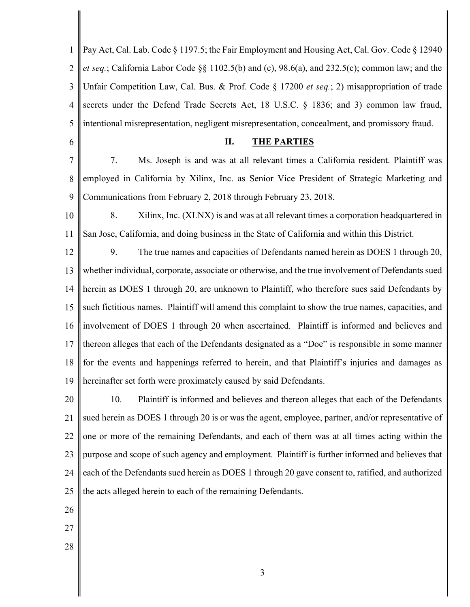1 2 3 4 5 Pay Act, Cal. Lab. Code § 1197.5; the Fair Employment and Housing Act, Cal. Gov. Code § 12940 *et seq.*; California Labor Code §§ 1102.5(b) and (c), 98.6(a), and 232.5(c); common law; and the Unfair Competition Law, Cal. Bus. & Prof. Code § 17200 *et seq.*; 2) misappropriation of trade secrets under the Defend Trade Secrets Act, 18 U.S.C. § 1836; and 3) common law fraud, intentional misrepresentation, negligent misrepresentation, concealment, and promissory fraud.

#### **II. THE PARTIES**

7 8 9 7. Ms. Joseph is and was at all relevant times a California resident. Plaintiff was employed in California by Xilinx, Inc. as Senior Vice President of Strategic Marketing and Communications from February 2, 2018 through February 23, 2018.

10 11 8. Xilinx, Inc. (XLNX) is and was at all relevant times a corporation headquartered in San Jose, California, and doing business in the State of California and within this District.

12 13 14 15 16 17 18 19 9. The true names and capacities of Defendants named herein as DOES 1 through 20, whether individual, corporate, associate or otherwise, and the true involvement of Defendants sued herein as DOES 1 through 20, are unknown to Plaintiff, who therefore sues said Defendants by such fictitious names. Plaintiff will amend this complaint to show the true names, capacities, and involvement of DOES 1 through 20 when ascertained. Plaintiff is informed and believes and thereon alleges that each of the Defendants designated as a "Doe" is responsible in some manner for the events and happenings referred to herein, and that Plaintiff's injuries and damages as hereinafter set forth were proximately caused by said Defendants.

20 21 22 23 24 25 10. Plaintiff is informed and believes and thereon alleges that each of the Defendants sued herein as DOES 1 through 20 is or was the agent, employee, partner, and/or representative of one or more of the remaining Defendants, and each of them was at all times acting within the purpose and scope of such agency and employment. Plaintiff is further informed and believes that each of the Defendants sued herein as DOES 1 through 20 gave consent to, ratified, and authorized the acts alleged herein to each of the remaining Defendants.

26

6

- 
- 27
- 28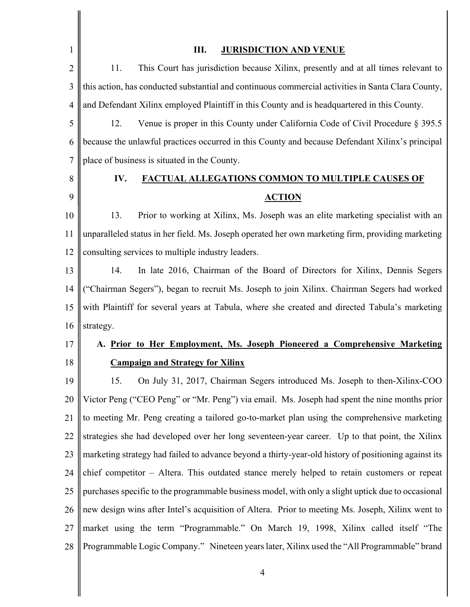| $\mathbf{1}$   | Ш.<br><b>JURISDICTION AND VENUE</b>                                                                  |
|----------------|------------------------------------------------------------------------------------------------------|
| $\overline{2}$ | 11.<br>This Court has jurisdiction because Xilinx, presently and at all times relevant to            |
| 3              | this action, has conducted substantial and continuous commercial activities in Santa Clara County,   |
| 4              | and Defendant Xilinx employed Plaintiff in this County and is headquartered in this County.          |
| 5              | 12.<br>Venue is proper in this County under California Code of Civil Procedure § 395.5               |
| 6              | because the unlawful practices occurred in this County and because Defendant Xilinx's principal      |
| 7              | place of business is situated in the County.                                                         |
| 8              | IV.<br><b>FACTUAL ALLEGATIONS COMMON TO MULTIPLE CAUSES OF</b>                                       |
| 9              | <b>ACTION</b>                                                                                        |
| 10             | 13.<br>Prior to working at Xilinx, Ms. Joseph was an elite marketing specialist with an              |
| 11             | unparalleled status in her field. Ms. Joseph operated her own marketing firm, providing marketing    |
| 12             | consulting services to multiple industry leaders.                                                    |
| 13             | 14.<br>In late 2016, Chairman of the Board of Directors for Xilinx, Dennis Segers                    |
| 14             | "Chairman Segers"), began to recruit Ms. Joseph to join Xilinx. Chairman Segers had worked           |
| 15             | with Plaintiff for several years at Tabula, where she created and directed Tabula's marketing        |
| 16             | strategy.                                                                                            |
| 17             | <u>Prior to Her Employment, Ms. Joseph Pioneered a Comprehensive Marketing</u>                       |
| 18             | <b>Campaign and Strategy for Xilinx</b>                                                              |
| 19             | On July 31, 2017, Chairman Segers introduced Ms. Joseph to then-Xilinx-COO<br>15.                    |
| 20             | Victor Peng ("CEO Peng" or "Mr. Peng") via email. Ms. Joseph had spent the nine months prior         |
| 21             | to meeting Mr. Peng creating a tailored go-to-market plan using the comprehensive marketing          |
| 22             | strategies she had developed over her long seventeen-year career. Up to that point, the Xilinx       |
| 23             | marketing strategy had failed to advance beyond a thirty-year-old history of positioning against its |
| 24             | chief competitor - Altera. This outdated stance merely helped to retain customers or repeat          |
| 25             | purchases specific to the programmable business model, with only a slight uptick due to occasional   |
| 26             | new design wins after Intel's acquisition of Altera. Prior to meeting Ms. Joseph, Xilinx went to     |
| 27             | market using the term "Programmable." On March 19, 1998, Xilinx called itself "The                   |
| 28             | Programmable Logic Company." Nineteen years later, Xilinx used the "All Programmable" brand          |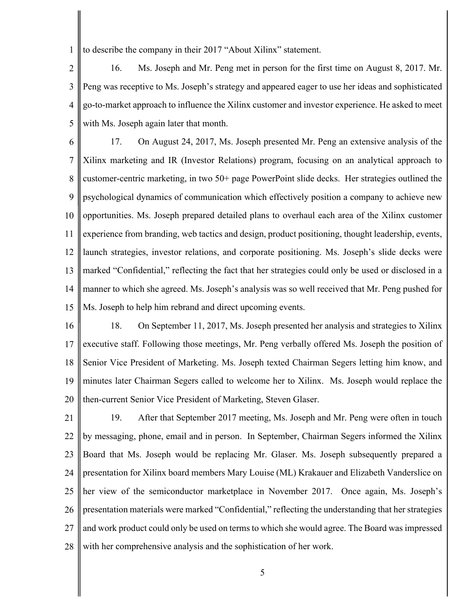1 to describe the company in their 2017 "About Xilinx" statement.

2 3 4 5 16. Ms. Joseph and Mr. Peng met in person for the first time on August 8, 2017. Mr. Peng was receptive to Ms. Joseph's strategy and appeared eager to use her ideas and sophisticated go-to-market approach to influence the Xilinx customer and investor experience. He asked to meet with Ms. Joseph again later that month.

6 7 8 9 10 11 12 13 14 15 17. On August 24, 2017, Ms. Joseph presented Mr. Peng an extensive analysis of the Xilinx marketing and IR (Investor Relations) program, focusing on an analytical approach to customer-centric marketing, in two 50+ page PowerPoint slide decks. Her strategies outlined the psychological dynamics of communication which effectively position a company to achieve new opportunities. Ms. Joseph prepared detailed plans to overhaul each area of the Xilinx customer experience from branding, web tactics and design, product positioning, thought leadership, events, launch strategies, investor relations, and corporate positioning. Ms. Joseph's slide decks were marked "Confidential," reflecting the fact that her strategies could only be used or disclosed in a manner to which she agreed. Ms. Joseph's analysis was so well received that Mr. Peng pushed for Ms. Joseph to help him rebrand and direct upcoming events.

- 16 17 18 19 20 18. On September 11, 2017, Ms. Joseph presented her analysis and strategies to Xilinx executive staff. Following those meetings, Mr. Peng verbally offered Ms. Joseph the position of Senior Vice President of Marketing. Ms. Joseph texted Chairman Segers letting him know, and minutes later Chairman Segers called to welcome her to Xilinx. Ms. Joseph would replace the then-current Senior Vice President of Marketing, Steven Glaser.
- 21 22 23 24 25 26 27 28 19. After that September 2017 meeting, Ms. Joseph and Mr. Peng were often in touch by messaging, phone, email and in person. In September, Chairman Segers informed the Xilinx Board that Ms. Joseph would be replacing Mr. Glaser. Ms. Joseph subsequently prepared a presentation for Xilinx board members Mary Louise (ML) Krakauer and Elizabeth Vanderslice on her view of the semiconductor marketplace in November 2017. Once again, Ms. Joseph's presentation materials were marked "Confidential," reflecting the understanding that her strategies and work product could only be used on terms to which she would agree. The Board was impressed with her comprehensive analysis and the sophistication of her work.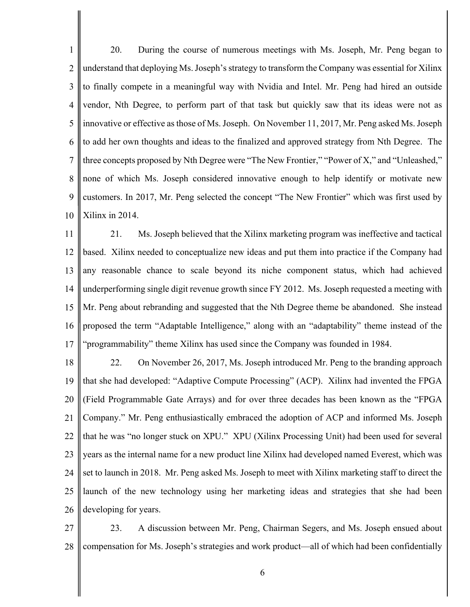1 2 3 4 5 6 7 8 9 10 20. During the course of numerous meetings with Ms. Joseph, Mr. Peng began to understand that deploying Ms. Joseph's strategy to transform the Company was essential for Xilinx to finally compete in a meaningful way with Nvidia and Intel. Mr. Peng had hired an outside vendor, Nth Degree, to perform part of that task but quickly saw that its ideas were not as innovative or effective as those of Ms. Joseph. On November 11, 2017, Mr. Peng asked Ms. Joseph to add her own thoughts and ideas to the finalized and approved strategy from Nth Degree. The three concepts proposed by Nth Degree were "The New Frontier," "Power of X," and "Unleashed," none of which Ms. Joseph considered innovative enough to help identify or motivate new customers. In 2017, Mr. Peng selected the concept "The New Frontier" which was first used by Xilinx in 2014.

11 12 13 14 15 16 17 21. Ms. Joseph believed that the Xilinx marketing program was ineffective and tactical based. Xilinx needed to conceptualize new ideas and put them into practice if the Company had any reasonable chance to scale beyond its niche component status, which had achieved underperforming single digit revenue growth since FY 2012. Ms. Joseph requested a meeting with Mr. Peng about rebranding and suggested that the Nth Degree theme be abandoned. She instead proposed the term "Adaptable Intelligence," along with an "adaptability" theme instead of the "programmability" theme Xilinx has used since the Company was founded in 1984.

18 19 20 21 22 23 24 25 26 22. On November 26, 2017, Ms. Joseph introduced Mr. Peng to the branding approach that she had developed: "Adaptive Compute Processing" (ACP). Xilinx had invented the FPGA (Field Programmable Gate Arrays) and for over three decades has been known as the "FPGA Company." Mr. Peng enthusiastically embraced the adoption of ACP and informed Ms. Joseph that he was "no longer stuck on XPU." XPU (Xilinx Processing Unit) had been used for several years as the internal name for a new product line Xilinx had developed named Everest, which was set to launch in 2018. Mr. Peng asked Ms. Joseph to meet with Xilinx marketing staff to direct the launch of the new technology using her marketing ideas and strategies that she had been developing for years.

27 28 23. A discussion between Mr. Peng, Chairman Segers, and Ms. Joseph ensued about compensation for Ms. Joseph's strategies and work product—all of which had been confidentially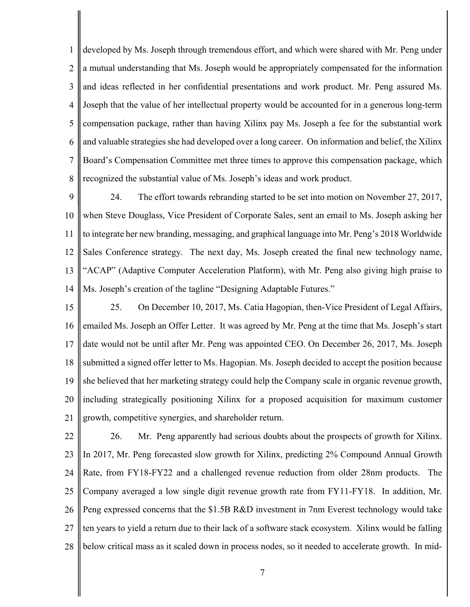1 2 3 4 5 6 7 8 developed by Ms. Joseph through tremendous effort, and which were shared with Mr. Peng under a mutual understanding that Ms. Joseph would be appropriately compensated for the information and ideas reflected in her confidential presentations and work product. Mr. Peng assured Ms. Joseph that the value of her intellectual property would be accounted for in a generous long-term compensation package, rather than having Xilinx pay Ms. Joseph a fee for the substantial work and valuable strategies she had developed over a long career. On information and belief, the Xilinx Board's Compensation Committee met three times to approve this compensation package, which recognized the substantial value of Ms. Joseph's ideas and work product.

9 10 11 12 13 14 24. The effort towards rebranding started to be set into motion on November 27, 2017, when Steve Douglass, Vice President of Corporate Sales, sent an email to Ms. Joseph asking her to integrate her new branding, messaging, and graphical language into Mr. Peng's 2018 Worldwide Sales Conference strategy. The next day, Ms. Joseph created the final new technology name, "ACAP" (Adaptive Computer Acceleration Platform), with Mr. Peng also giving high praise to Ms. Joseph's creation of the tagline "Designing Adaptable Futures."

15 16 17 18 19 20 21 25. On December 10, 2017, Ms. Catia Hagopian, then-Vice President of Legal Affairs, emailed Ms. Joseph an Offer Letter. It was agreed by Mr. Peng at the time that Ms. Joseph's start date would not be until after Mr. Peng was appointed CEO. On December 26, 2017, Ms. Joseph submitted a signed offer letter to Ms. Hagopian. Ms. Joseph decided to accept the position because she believed that her marketing strategy could help the Company scale in organic revenue growth, including strategically positioning Xilinx for a proposed acquisition for maximum customer growth, competitive synergies, and shareholder return.

22 23 24 25 26 27 28 26. Mr. Peng apparently had serious doubts about the prospects of growth for Xilinx. In 2017, Mr. Peng forecasted slow growth for Xilinx, predicting 2% Compound Annual Growth Rate, from FY18-FY22 and a challenged revenue reduction from older 28nm products. The Company averaged a low single digit revenue growth rate from FY11-FY18. In addition, Mr. Peng expressed concerns that the \$1.5B R&D investment in 7nm Everest technology would take ten years to yield a return due to their lack of a software stack ecosystem. Xilinx would be falling below critical mass as it scaled down in process nodes, so it needed to accelerate growth. In mid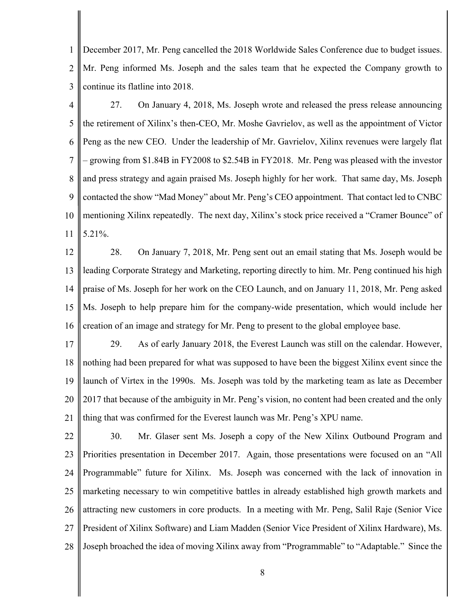1 2 3 December 2017, Mr. Peng cancelled the 2018 Worldwide Sales Conference due to budget issues. Mr. Peng informed Ms. Joseph and the sales team that he expected the Company growth to continue its flatline into 2018.

4 5 6 7 8 9 10 11 27. On January 4, 2018, Ms. Joseph wrote and released the press release announcing the retirement of Xilinx's then-CEO, Mr. Moshe Gavrielov, as well as the appointment of Victor Peng as the new CEO. Under the leadership of Mr. Gavrielov, Xilinx revenues were largely flat – growing from \$1.84B in FY2008 to \$2.54B in FY2018. Mr. Peng was pleased with the investor and press strategy and again praised Ms. Joseph highly for her work. That same day, Ms. Joseph contacted the show "Mad Money" about Mr. Peng's CEO appointment. That contact led to CNBC mentioning Xilinx repeatedly. The next day, Xilinx's stock price received a "Cramer Bounce" of 5.21%.

12 13 14 15 16 28. On January 7, 2018, Mr. Peng sent out an email stating that Ms. Joseph would be leading Corporate Strategy and Marketing, reporting directly to him. Mr. Peng continued his high praise of Ms. Joseph for her work on the CEO Launch, and on January 11, 2018, Mr. Peng asked Ms. Joseph to help prepare him for the company-wide presentation, which would include her creation of an image and strategy for Mr. Peng to present to the global employee base.

17 18 19 20 21 29. As of early January 2018, the Everest Launch was still on the calendar. However, nothing had been prepared for what was supposed to have been the biggest Xilinx event since the launch of Virtex in the 1990s. Ms. Joseph was told by the marketing team as late as December 2017 that because of the ambiguity in Mr. Peng's vision, no content had been created and the only thing that was confirmed for the Everest launch was Mr. Peng's XPU name.

22 23 24 25 26 27 28 30. Mr. Glaser sent Ms. Joseph a copy of the New Xilinx Outbound Program and Priorities presentation in December 2017. Again, those presentations were focused on an "All Programmable" future for Xilinx. Ms. Joseph was concerned with the lack of innovation in marketing necessary to win competitive battles in already established high growth markets and attracting new customers in core products. In a meeting with Mr. Peng, Salil Raje (Senior Vice President of Xilinx Software) and Liam Madden (Senior Vice President of Xilinx Hardware), Ms. Joseph broached the idea of moving Xilinx away from "Programmable" to "Adaptable." Since the

8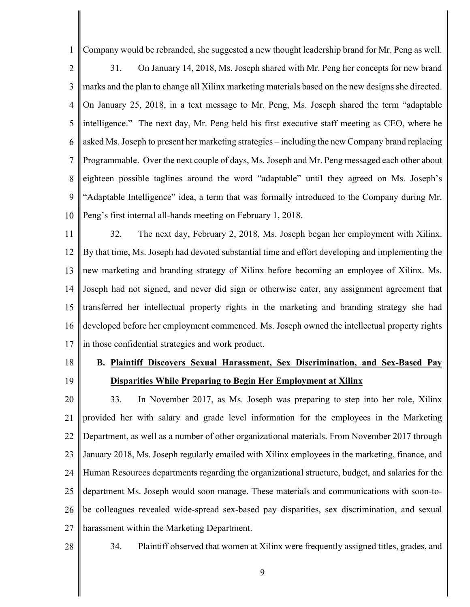Company would be rebranded, she suggested a new thought leadership brand for Mr. Peng as well.

2 3 4 5 6 7 8 9 10 31. On January 14, 2018, Ms. Joseph shared with Mr. Peng her concepts for new brand marks and the plan to change all Xilinx marketing materials based on the new designs she directed. On January 25, 2018, in a text message to Mr. Peng, Ms. Joseph shared the term "adaptable intelligence." The next day, Mr. Peng held his first executive staff meeting as CEO, where he asked Ms. Joseph to present her marketing strategies – including the new Company brand replacing Programmable. Over the next couple of days, Ms. Joseph and Mr. Peng messaged each other about eighteen possible taglines around the word "adaptable" until they agreed on Ms. Joseph's "Adaptable Intelligence" idea, a term that was formally introduced to the Company during Mr. Peng's first internal all-hands meeting on February 1, 2018.

1

11 12 13 14 15 16 17 32. The next day, February 2, 2018, Ms. Joseph began her employment with Xilinx. By that time, Ms. Joseph had devoted substantial time and effort developing and implementing the new marketing and branding strategy of Xilinx before becoming an employee of Xilinx. Ms. Joseph had not signed, and never did sign or otherwise enter, any assignment agreement that transferred her intellectual property rights in the marketing and branding strategy she had developed before her employment commenced. Ms. Joseph owned the intellectual property rights in those confidential strategies and work product.

18

19

# **B. Plaintiff Discovers Sexual Harassment, Sex Discrimination, and Sex-Based Pay Disparities While Preparing to Begin Her Employment at Xilinx**

20 21 22 23 24 25 26 27 33. In November 2017, as Ms. Joseph was preparing to step into her role, Xilinx provided her with salary and grade level information for the employees in the Marketing Department, as well as a number of other organizational materials. From November 2017 through January 2018, Ms. Joseph regularly emailed with Xilinx employees in the marketing, finance, and Human Resources departments regarding the organizational structure, budget, and salaries for the department Ms. Joseph would soon manage. These materials and communications with soon-tobe colleagues revealed wide-spread sex-based pay disparities, sex discrimination, and sexual harassment within the Marketing Department.

28

34. Plaintiff observed that women at Xilinx were frequently assigned titles, grades, and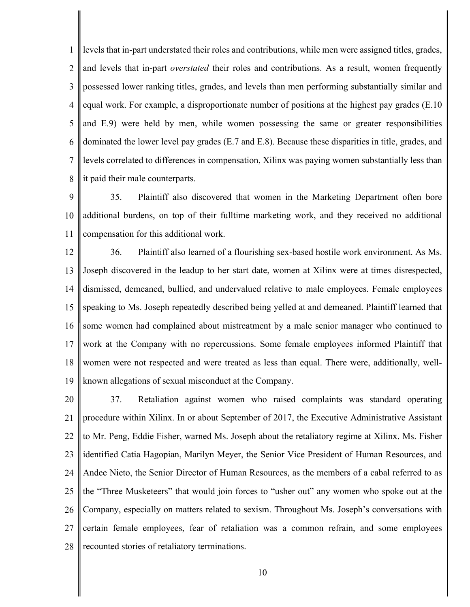1 2 3 4 5 6 7 8 levels that in-part understated their roles and contributions, while men were assigned titles, grades, and levels that in-part *overstated* their roles and contributions. As a result, women frequently possessed lower ranking titles, grades, and levels than men performing substantially similar and equal work. For example, a disproportionate number of positions at the highest pay grades (E.10 and E.9) were held by men, while women possessing the same or greater responsibilities dominated the lower level pay grades (E.7 and E.8). Because these disparities in title, grades, and levels correlated to differences in compensation, Xilinx was paying women substantially less than it paid their male counterparts.

9 10 11 35. Plaintiff also discovered that women in the Marketing Department often bore additional burdens, on top of their fulltime marketing work, and they received no additional compensation for this additional work.

12 13 14 15 16 17 18 19 36. Plaintiff also learned of a flourishing sex-based hostile work environment. As Ms. Joseph discovered in the leadup to her start date, women at Xilinx were at times disrespected, dismissed, demeaned, bullied, and undervalued relative to male employees. Female employees speaking to Ms. Joseph repeatedly described being yelled at and demeaned. Plaintiff learned that some women had complained about mistreatment by a male senior manager who continued to work at the Company with no repercussions. Some female employees informed Plaintiff that women were not respected and were treated as less than equal. There were, additionally, wellknown allegations of sexual misconduct at the Company.

20 21 22 23 24 25 26 27 28 37. Retaliation against women who raised complaints was standard operating procedure within Xilinx. In or about September of 2017, the Executive Administrative Assistant to Mr. Peng, Eddie Fisher, warned Ms. Joseph about the retaliatory regime at Xilinx. Ms. Fisher identified Catia Hagopian, Marilyn Meyer, the Senior Vice President of Human Resources, and Andee Nieto, the Senior Director of Human Resources, as the members of a cabal referred to as the "Three Musketeers" that would join forces to "usher out" any women who spoke out at the Company, especially on matters related to sexism. Throughout Ms. Joseph's conversations with certain female employees, fear of retaliation was a common refrain, and some employees recounted stories of retaliatory terminations.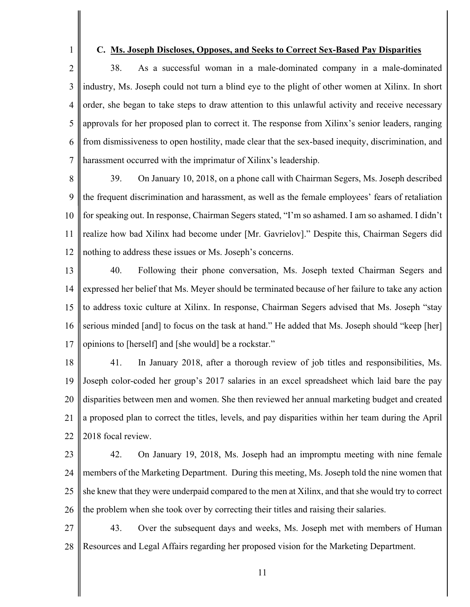1

#### **C. Ms. Joseph Discloses, Opposes, and Seeks to Correct Sex-Based Pay Disparities**

2 3 4 5 6 7 38. As a successful woman in a male-dominated company in a male-dominated industry, Ms. Joseph could not turn a blind eye to the plight of other women at Xilinx. In short order, she began to take steps to draw attention to this unlawful activity and receive necessary approvals for her proposed plan to correct it. The response from Xilinx's senior leaders, ranging from dismissiveness to open hostility, made clear that the sex-based inequity, discrimination, and harassment occurred with the imprimatur of Xilinx's leadership.

8 9 10 11 12 39. On January 10, 2018, on a phone call with Chairman Segers, Ms. Joseph described the frequent discrimination and harassment, as well as the female employees' fears of retaliation for speaking out. In response, Chairman Segers stated, "I'm so ashamed. I am so ashamed. I didn't realize how bad Xilinx had become under [Mr. Gavrielov]." Despite this, Chairman Segers did nothing to address these issues or Ms. Joseph's concerns.

13 14 15 16 17 40. Following their phone conversation, Ms. Joseph texted Chairman Segers and expressed her belief that Ms. Meyer should be terminated because of her failure to take any action to address toxic culture at Xilinx. In response, Chairman Segers advised that Ms. Joseph "stay serious minded [and] to focus on the task at hand." He added that Ms. Joseph should "keep [her] opinions to [herself] and [she would] be a rockstar."

18 19 20 21 22 41. In January 2018, after a thorough review of job titles and responsibilities, Ms. Joseph color-coded her group's 2017 salaries in an excel spreadsheet which laid bare the pay disparities between men and women. She then reviewed her annual marketing budget and created a proposed plan to correct the titles, levels, and pay disparities within her team during the April 2018 focal review.

23 24 25 26 42. On January 19, 2018, Ms. Joseph had an impromptu meeting with nine female members of the Marketing Department. During this meeting, Ms. Joseph told the nine women that she knew that they were underpaid compared to the men at Xilinx, and that she would try to correct the problem when she took over by correcting their titles and raising their salaries.

27 28 43. Over the subsequent days and weeks, Ms. Joseph met with members of Human Resources and Legal Affairs regarding her proposed vision for the Marketing Department.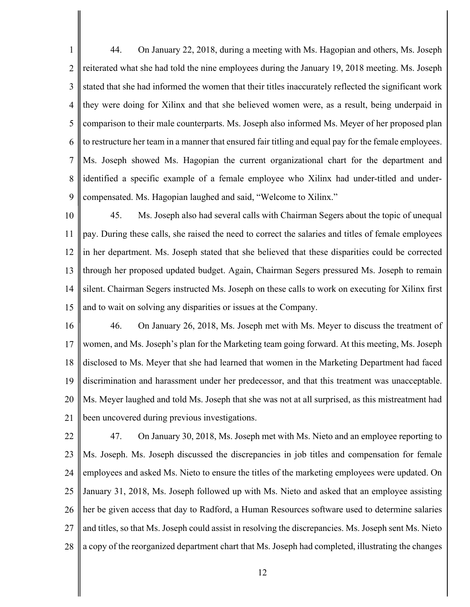1 2 3 4 5 6 7 8 9 44. On January 22, 2018, during a meeting with Ms. Hagopian and others, Ms. Joseph reiterated what she had told the nine employees during the January 19, 2018 meeting. Ms. Joseph stated that she had informed the women that their titles inaccurately reflected the significant work they were doing for Xilinx and that she believed women were, as a result, being underpaid in comparison to their male counterparts. Ms. Joseph also informed Ms. Meyer of her proposed plan to restructure her team in a manner that ensured fair titling and equal pay for the female employees. Ms. Joseph showed Ms. Hagopian the current organizational chart for the department and identified a specific example of a female employee who Xilinx had under-titled and undercompensated. Ms. Hagopian laughed and said, "Welcome to Xilinx."

10 11 12 13 14 15 45. Ms. Joseph also had several calls with Chairman Segers about the topic of unequal pay. During these calls, she raised the need to correct the salaries and titles of female employees in her department. Ms. Joseph stated that she believed that these disparities could be corrected through her proposed updated budget. Again, Chairman Segers pressured Ms. Joseph to remain silent. Chairman Segers instructed Ms. Joseph on these calls to work on executing for Xilinx first and to wait on solving any disparities or issues at the Company.

16 17 18 19 20 21 46. On January 26, 2018, Ms. Joseph met with Ms. Meyer to discuss the treatment of women, and Ms. Joseph's plan for the Marketing team going forward. At this meeting, Ms. Joseph disclosed to Ms. Meyer that she had learned that women in the Marketing Department had faced discrimination and harassment under her predecessor, and that this treatment was unacceptable. Ms. Meyer laughed and told Ms. Joseph that she was not at all surprised, as this mistreatment had been uncovered during previous investigations.

22 23 24 25 26 27 28 47. On January 30, 2018, Ms. Joseph met with Ms. Nieto and an employee reporting to Ms. Joseph. Ms. Joseph discussed the discrepancies in job titles and compensation for female employees and asked Ms. Nieto to ensure the titles of the marketing employees were updated. On January 31, 2018, Ms. Joseph followed up with Ms. Nieto and asked that an employee assisting her be given access that day to Radford, a Human Resources software used to determine salaries and titles, so that Ms. Joseph could assist in resolving the discrepancies. Ms. Joseph sent Ms. Nieto a copy of the reorganized department chart that Ms. Joseph had completed, illustrating the changes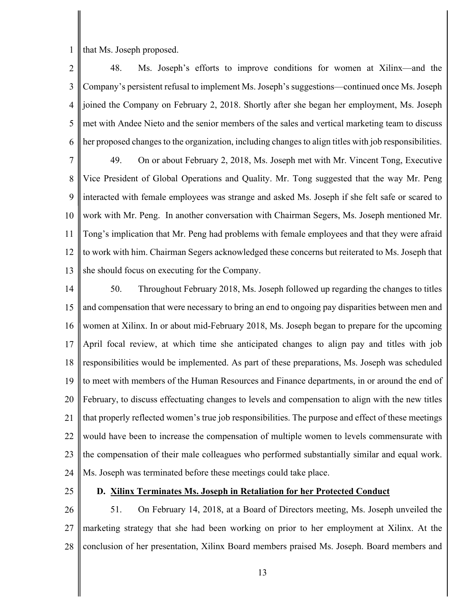1 that Ms. Joseph proposed.

| $\overline{2}$ | Ms. Joseph's efforts to improve conditions for women at Xilinx-and the<br>48.                          |
|----------------|--------------------------------------------------------------------------------------------------------|
| 3              | Company's persistent refusal to implement Ms. Joseph's suggestions—continued once Ms. Joseph           |
| $\overline{4}$ | joined the Company on February 2, 2018. Shortly after she began her employment, Ms. Joseph             |
| 5              | met with Andee Nieto and the senior members of the sales and vertical marketing team to discuss        |
| 6              | her proposed changes to the organization, including changes to align titles with job responsibilities. |
| 7              | 49.<br>On or about February 2, 2018, Ms. Joseph met with Mr. Vincent Tong, Executive                   |
| $8\,$          | Vice President of Global Operations and Quality. Mr. Tong suggested that the way Mr. Peng              |
| 9              | interacted with female employees was strange and asked Ms. Joseph if she felt safe or scared to        |
| 10             | work with Mr. Peng. In another conversation with Chairman Segers, Ms. Joseph mentioned Mr.             |
| 11             | Tong's implication that Mr. Peng had problems with female employees and that they were afraid          |
| 12             | to work with him. Chairman Segers acknowledged these concerns but reiterated to Ms. Joseph that        |
| 13             | she should focus on executing for the Company.                                                         |
| 14             | Throughout February 2018, Ms. Joseph followed up regarding the changes to titles<br>50.                |
| 15             | and compensation that were necessary to bring an end to ongoing pay disparities between men and        |
| 16             | women at Xilinx. In or about mid-February 2018, Ms. Joseph began to prepare for the upcoming           |
| 17             | April focal review, at which time she anticipated changes to align pay and titles with job             |
|                |                                                                                                        |

18 19 20 21 22 23 24 responsibilities would be implemented. As part of these preparations, Ms. Joseph was scheduled to meet with members of the Human Resources and Finance departments, in or around the end of February, to discuss effectuating changes to levels and compensation to align with the new titles that properly reflected women's true job responsibilities. The purpose and effect of these meetings would have been to increase the compensation of multiple women to levels commensurate with the compensation of their male colleagues who performed substantially similar and equal work. Ms. Joseph was terminated before these meetings could take place.

25

#### **D. Xilinx Terminates Ms. Joseph in Retaliation for her Protected Conduct**

26 27 28 51. On February 14, 2018, at a Board of Directors meeting, Ms. Joseph unveiled the marketing strategy that she had been working on prior to her employment at Xilinx. At the conclusion of her presentation, Xilinx Board members praised Ms. Joseph. Board members and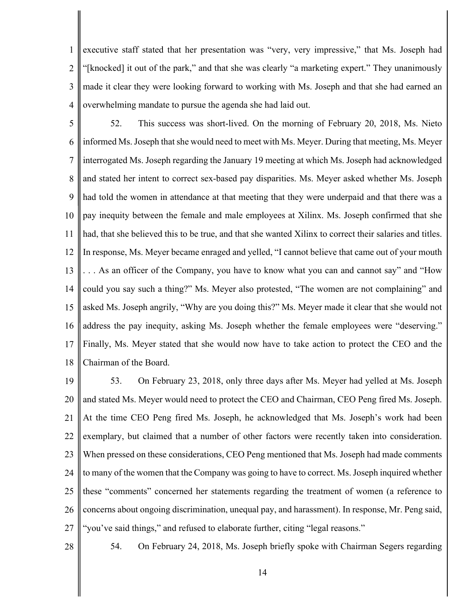1 2 3 4 executive staff stated that her presentation was "very, very impressive," that Ms. Joseph had "[knocked] it out of the park," and that she was clearly "a marketing expert." They unanimously made it clear they were looking forward to working with Ms. Joseph and that she had earned an overwhelming mandate to pursue the agenda she had laid out.

5 6 7 8 9 10 11 12 13 14 15 16 17 18 52. This success was short-lived. On the morning of February 20, 2018, Ms. Nieto informed Ms. Joseph that she would need to meet with Ms. Meyer. During that meeting, Ms. Meyer interrogated Ms. Joseph regarding the January 19 meeting at which Ms. Joseph had acknowledged and stated her intent to correct sex-based pay disparities. Ms. Meyer asked whether Ms. Joseph had told the women in attendance at that meeting that they were underpaid and that there was a pay inequity between the female and male employees at Xilinx. Ms. Joseph confirmed that she had, that she believed this to be true, and that she wanted Xilinx to correct their salaries and titles. In response, Ms. Meyer became enraged and yelled, "I cannot believe that came out of your mouth . . . As an officer of the Company, you have to know what you can and cannot say" and "How could you say such a thing?" Ms. Meyer also protested, "The women are not complaining" and asked Ms. Joseph angrily, "Why are you doing this?" Ms. Meyer made it clear that she would not address the pay inequity, asking Ms. Joseph whether the female employees were "deserving." Finally, Ms. Meyer stated that she would now have to take action to protect the CEO and the Chairman of the Board.

19 20 21 22 23 24 25 26 27 53. On February 23, 2018, only three days after Ms. Meyer had yelled at Ms. Joseph and stated Ms. Meyer would need to protect the CEO and Chairman, CEO Peng fired Ms. Joseph. At the time CEO Peng fired Ms. Joseph, he acknowledged that Ms. Joseph's work had been exemplary, but claimed that a number of other factors were recently taken into consideration. When pressed on these considerations, CEO Peng mentioned that Ms. Joseph had made comments to many of the women that the Company was going to have to correct. Ms. Joseph inquired whether these "comments" concerned her statements regarding the treatment of women (a reference to concerns about ongoing discrimination, unequal pay, and harassment). In response, Mr. Peng said, "you've said things," and refused to elaborate further, citing "legal reasons."

28

54. On February 24, 2018, Ms. Joseph briefly spoke with Chairman Segers regarding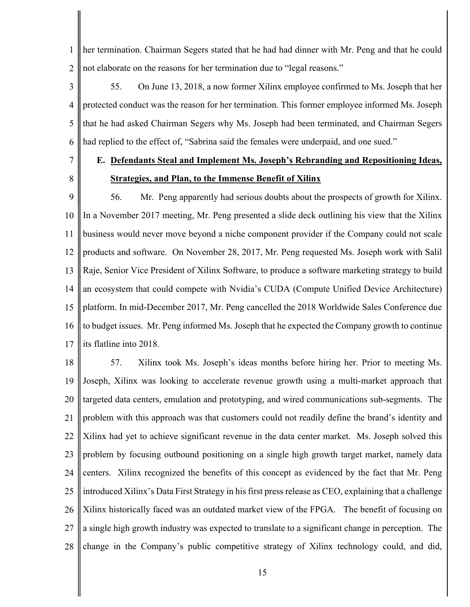1 2 her termination. Chairman Segers stated that he had had dinner with Mr. Peng and that he could not elaborate on the reasons for her termination due to "legal reasons."

- 3 4 5 6 55. On June 13, 2018, a now former Xilinx employee confirmed to Ms. Joseph that her protected conduct was the reason for her termination. This former employee informed Ms. Joseph that he had asked Chairman Segers why Ms. Joseph had been terminated, and Chairman Segers had replied to the effect of, "Sabrina said the females were underpaid, and one sued."
- 7
- **E. Defendants Steal and Implement Ms. Joseph's Rebranding and Repositioning Ideas, Strategies, and Plan, to the Immense Benefit of Xilinx**

8

9 10 11 12 13 14 15 16 17 56. Mr. Peng apparently had serious doubts about the prospects of growth for Xilinx. In a November 2017 meeting, Mr. Peng presented a slide deck outlining his view that the Xilinx business would never move beyond a niche component provider if the Company could not scale products and software. On November 28, 2017, Mr. Peng requested Ms. Joseph work with Salil Raje, Senior Vice President of Xilinx Software, to produce a software marketing strategy to build an ecosystem that could compete with Nvidia's CUDA (Compute Unified Device Architecture) platform. In mid-December 2017, Mr. Peng cancelled the 2018 Worldwide Sales Conference due to budget issues. Mr. Peng informed Ms. Joseph that he expected the Company growth to continue its flatline into 2018.

18 19 20 21 22 23 24 25 26 27 28 57. Xilinx took Ms. Joseph's ideas months before hiring her. Prior to meeting Ms. Joseph, Xilinx was looking to accelerate revenue growth using a multi-market approach that targeted data centers, emulation and prototyping, and wired communications sub-segments. The problem with this approach was that customers could not readily define the brand's identity and Xilinx had yet to achieve significant revenue in the data center market. Ms. Joseph solved this problem by focusing outbound positioning on a single high growth target market, namely data centers. Xilinx recognized the benefits of this concept as evidenced by the fact that Mr. Peng introduced Xilinx's Data First Strategy in his first press release as CEO, explaining that a challenge Xilinx historically faced was an outdated market view of the FPGA. The benefit of focusing on a single high growth industry was expected to translate to a significant change in perception. The change in the Company's public competitive strategy of Xilinx technology could, and did,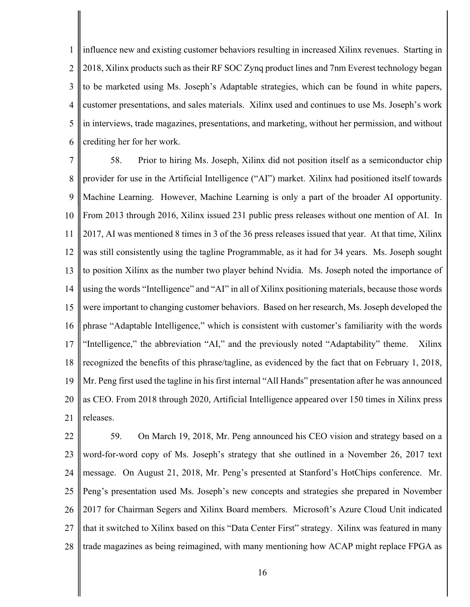1 2 3 4 5 6 influence new and existing customer behaviors resulting in increased Xilinx revenues. Starting in 2018, Xilinx products such as their RF SOC Zynq product lines and 7nm Everest technology began to be marketed using Ms. Joseph's Adaptable strategies, which can be found in white papers, customer presentations, and sales materials. Xilinx used and continues to use Ms. Joseph's work in interviews, trade magazines, presentations, and marketing, without her permission, and without crediting her for her work.

7 8 9 10 11 12 13 14 15 16 17 18 19 20 21 58. Prior to hiring Ms. Joseph, Xilinx did not position itself as a semiconductor chip provider for use in the Artificial Intelligence ("AI") market. Xilinx had positioned itself towards Machine Learning. However, Machine Learning is only a part of the broader AI opportunity. From 2013 through 2016, Xilinx issued 231 public press releases without one mention of AI. In 2017, AI was mentioned 8 times in 3 of the 36 press releases issued that year. At that time, Xilinx was still consistently using the tagline Programmable, as it had for 34 years. Ms. Joseph sought to position Xilinx as the number two player behind Nvidia. Ms. Joseph noted the importance of using the words "Intelligence" and "AI" in all of Xilinx positioning materials, because those words were important to changing customer behaviors. Based on her research, Ms. Joseph developed the phrase "Adaptable Intelligence," which is consistent with customer's familiarity with the words "Intelligence," the abbreviation "AI," and the previously noted "Adaptability" theme. Xilinx recognized the benefits of this phrase/tagline, as evidenced by the fact that on February 1, 2018, Mr. Peng first used the tagline in his first internal "All Hands" presentation after he was announced as CEO. From 2018 through 2020, Artificial Intelligence appeared over 150 times in Xilinx press releases.

22 23 24 25 26 27 28 59. On March 19, 2018, Mr. Peng announced his CEO vision and strategy based on a word-for-word copy of Ms. Joseph's strategy that she outlined in a November 26, 2017 text message. On August 21, 2018, Mr. Peng's presented at Stanford's HotChips conference. Mr. Peng's presentation used Ms. Joseph's new concepts and strategies she prepared in November 2017 for Chairman Segers and Xilinx Board members. Microsoft's Azure Cloud Unit indicated that it switched to Xilinx based on this "Data Center First" strategy. Xilinx was featured in many trade magazines as being reimagined, with many mentioning how ACAP might replace FPGA as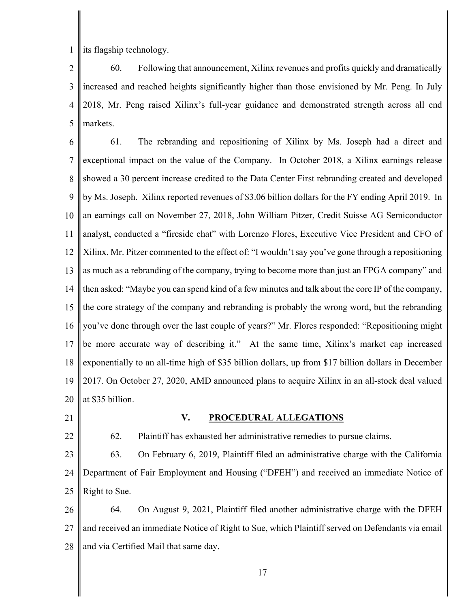1 its flagship technology.

2 3 4 5 60. Following that announcement, Xilinx revenues and profits quickly and dramatically increased and reached heights significantly higher than those envisioned by Mr. Peng. In July 2018, Mr. Peng raised Xilinx's full-year guidance and demonstrated strength across all end markets.

6 7 8 9 10 11 12 13 14 15 16 17 18 19 20 61. The rebranding and repositioning of Xilinx by Ms. Joseph had a direct and exceptional impact on the value of the Company. In October 2018, a Xilinx earnings release showed a 30 percent increase credited to the Data Center First rebranding created and developed by Ms. Joseph. Xilinx reported revenues of \$3.06 billion dollars for the FY ending April 2019. In an earnings call on November 27, 2018, John William Pitzer, Credit Suisse AG Semiconductor analyst, conducted a "fireside chat" with Lorenzo Flores, Executive Vice President and CFO of Xilinx. Mr. Pitzer commented to the effect of: "I wouldn't say you've gone through a repositioning as much as a rebranding of the company, trying to become more than just an FPGA company" and then asked: "Maybe you can spend kind of a few minutes and talk about the core IP of the company, the core strategy of the company and rebranding is probably the wrong word, but the rebranding you've done through over the last couple of years?" Mr. Flores responded: "Repositioning might be more accurate way of describing it." At the same time, Xilinx's market cap increased exponentially to an all-time high of \$35 billion dollars, up from \$17 billion dollars in December 2017. On October 27, 2020, AMD announced plans to acquire Xilinx in an all-stock deal valued at \$35 billion.

21

### **V. PROCEDURAL ALLEGATIONS**

22 23 24 25 62. Plaintiff has exhausted her administrative remedies to pursue claims. 63. On February 6, 2019, Plaintiff filed an administrative charge with the California Department of Fair Employment and Housing ("DFEH") and received an immediate Notice of Right to Sue.

26 27 28 64. On August 9, 2021, Plaintiff filed another administrative charge with the DFEH and received an immediate Notice of Right to Sue, which Plaintiff served on Defendants via email and via Certified Mail that same day.

17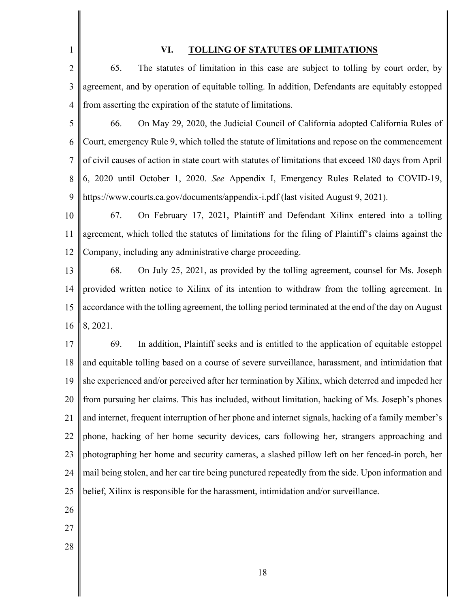| $\mathbf{1}$   | VI.<br><b>TOLLING OF STATUTES OF LIMITATIONS</b>                                                      |
|----------------|-------------------------------------------------------------------------------------------------------|
| $\overline{2}$ | The statutes of limitation in this case are subject to tolling by court order, by<br>65.              |
| 3              | agreement, and by operation of equitable tolling. In addition, Defendants are equitably estopped      |
| $\overline{4}$ | from asserting the expiration of the statute of limitations.                                          |
| 5              | On May 29, 2020, the Judicial Council of California adopted California Rules of<br>66.                |
| 6              | Court, emergency Rule 9, which tolled the statute of limitations and repose on the commencement       |
| $\overline{7}$ | of civil causes of action in state court with statutes of limitations that exceed 180 days from April |
| 8              | 6, 2020 until October 1, 2020. See Appendix I, Emergency Rules Related to COVID-19,                   |
| 9              | https://www.courts.ca.gov/documents/appendix-i.pdf (last visited August 9, 2021).                     |
| 10             | On February 17, 2021, Plaintiff and Defendant Xilinx entered into a tolling<br>67.                    |
| 11             | agreement, which tolled the statutes of limitations for the filing of Plaintiff's claims against the  |
| 12             | Company, including any administrative charge proceeding.                                              |
| 13             | 68.<br>On July 25, 2021, as provided by the tolling agreement, counsel for Ms. Joseph                 |
| 14             | provided written notice to Xilinx of its intention to withdraw from the tolling agreement. In         |
| 15             | accordance with the tolling agreement, the tolling period terminated at the end of the day on August  |
| 16             | 8, 2021.                                                                                              |
| 17             | 69.<br>In addition, Plaintiff seeks and is entitled to the application of equitable estoppel          |
| 18             | and equitable tolling based on a course of severe surveillance, harassment, and intimidation that     |
| 19             | she experienced and/or perceived after her termination by Xilinx, which deterred and impeded her      |
| 20             | from pursuing her claims. This has included, without limitation, hacking of Ms. Joseph's phones       |
| 21             | and internet, frequent interruption of her phone and internet signals, hacking of a family member's   |
| 22             | phone, hacking of her home security devices, cars following her, strangers approaching and            |
| 23             | photographing her home and security cameras, a slashed pillow left on her fenced-in porch, her        |
| 24             | mail being stolen, and her car tire being punctured repeatedly from the side. Upon information and    |
| 25             | belief, Xilinx is responsible for the harassment, intimidation and/or surveillance.                   |
| 26             |                                                                                                       |
| 27             |                                                                                                       |
| 28             |                                                                                                       |
|                |                                                                                                       |

║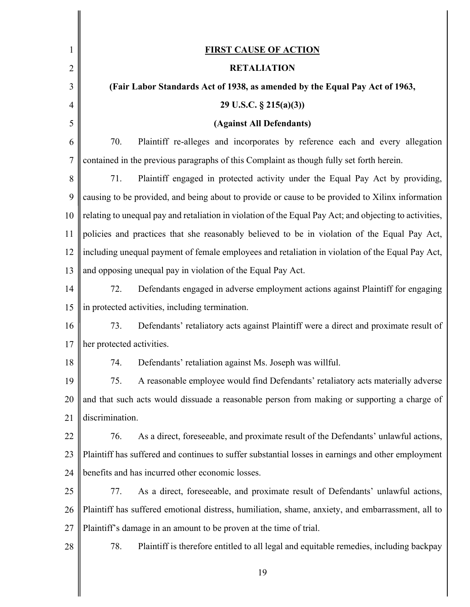| 1              | <b>FIRST CAUSE OF ACTION</b>                                                                            |
|----------------|---------------------------------------------------------------------------------------------------------|
| 2              | <b>RETALIATION</b>                                                                                      |
| 3              | (Fair Labor Standards Act of 1938, as amended by the Equal Pay Act of 1963,                             |
| $\overline{4}$ | 29 U.S.C. $\S$ 215(a)(3))                                                                               |
| 5              | (Against All Defendants)                                                                                |
| 6              | 70.<br>Plaintiff re-alleges and incorporates by reference each and every allegation                     |
| 7              | contained in the previous paragraphs of this Complaint as though fully set forth herein.                |
| 8              | Plaintiff engaged in protected activity under the Equal Pay Act by providing,<br>71.                    |
| 9              | causing to be provided, and being about to provide or cause to be provided to Xilinx information        |
| 10             | relating to unequal pay and retaliation in violation of the Equal Pay Act; and objecting to activities, |
| 11             | policies and practices that she reasonably believed to be in violation of the Equal Pay Act,            |
| 12             | including unequal payment of female employees and retaliation in violation of the Equal Pay Act,        |
| 13             | and opposing unequal pay in violation of the Equal Pay Act.                                             |
| 14             | 72.<br>Defendants engaged in adverse employment actions against Plaintiff for engaging                  |
| 15             | in protected activities, including termination.                                                         |
| 16             | Defendants' retaliatory acts against Plaintiff were a direct and proximate result of<br>73.             |
| 17             | her protected activities.                                                                               |
| 18             | Defendants' retaliation against Ms. Joseph was willful.<br>74.                                          |
| 19             | A reasonable employee would find Defendants' retaliatory acts materially adverse<br>75.                 |
| 20             | and that such acts would dissuade a reasonable person from making or supporting a charge of             |
| 21             | discrimination.                                                                                         |
| 22             | As a direct, foreseeable, and proximate result of the Defendants' unlawful actions,<br>76.              |
| 23             | Plaintiff has suffered and continues to suffer substantial losses in earnings and other employment      |
| 24             | benefits and has incurred other economic losses.                                                        |
| 25             | As a direct, foreseeable, and proximate result of Defendants' unlawful actions,<br>77.                  |
| 26             | Plaintiff has suffered emotional distress, humiliation, shame, anxiety, and embarrassment, all to       |
| 27             | Plaintiff's damage in an amount to be proven at the time of trial.                                      |
| 28             | 78.<br>Plaintiff is therefore entitled to all legal and equitable remedies, including backpay           |

19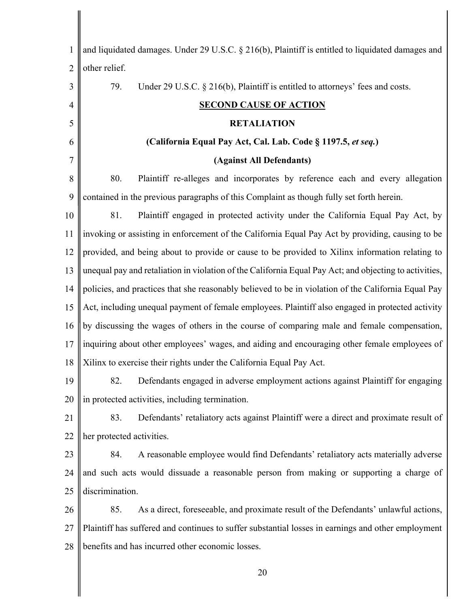| 1              | and liquidated damages. Under 29 U.S.C. § 216(b), Plaintiff is entitled to liquidated damages and      |
|----------------|--------------------------------------------------------------------------------------------------------|
| $\overline{2}$ | other relief.                                                                                          |
| 3              | Under 29 U.S.C. § 216(b), Plaintiff is entitled to attorneys' fees and costs.<br>79.                   |
| 4              | <b>SECOND CAUSE OF ACTION</b>                                                                          |
| 5              | <b>RETALIATION</b>                                                                                     |
| 6              | (California Equal Pay Act, Cal. Lab. Code § 1197.5, et seq.)                                           |
| 7              | (Against All Defendants)                                                                               |
| 8              | 80.<br>Plaintiff re-alleges and incorporates by reference each and every allegation                    |
| 9              | contained in the previous paragraphs of this Complaint as though fully set forth herein.               |
| 10             | 81.<br>Plaintiff engaged in protected activity under the California Equal Pay Act, by                  |
| 11             | invoking or assisting in enforcement of the California Equal Pay Act by providing, causing to be       |
| 12             | provided, and being about to provide or cause to be provided to Xilinx information relating to         |
| 13             | unequal pay and retaliation in violation of the California Equal Pay Act; and objecting to activities, |
| 14             | policies, and practices that she reasonably believed to be in violation of the California Equal Pay    |
| 15             | Act, including unequal payment of female employees. Plaintiff also engaged in protected activity       |
| 16             | by discussing the wages of others in the course of comparing male and female compensation,             |
| 17             | inquiring about other employees' wages, and aiding and encouraging other female employees of           |
| 18             | Xilinx to exercise their rights under the California Equal Pay Act.                                    |
| 19             | 82.<br>Defendants engaged in adverse employment actions against Plaintiff for engaging                 |
| 20             | in protected activities, including termination.                                                        |
| 21             | Defendants' retaliatory acts against Plaintiff were a direct and proximate result of<br>83.            |
| 22             | her protected activities.                                                                              |
| 23             | A reasonable employee would find Defendants' retaliatory acts materially adverse<br>84.                |
| 24             | and such acts would dissuade a reasonable person from making or supporting a charge of                 |
| 25             | discrimination.                                                                                        |
| 26             | As a direct, foreseeable, and proximate result of the Defendants' unlawful actions,<br>85.             |
| 27             | Plaintiff has suffered and continues to suffer substantial losses in earnings and other employment     |
| 28             | benefits and has incurred other economic losses.                                                       |
|                |                                                                                                        |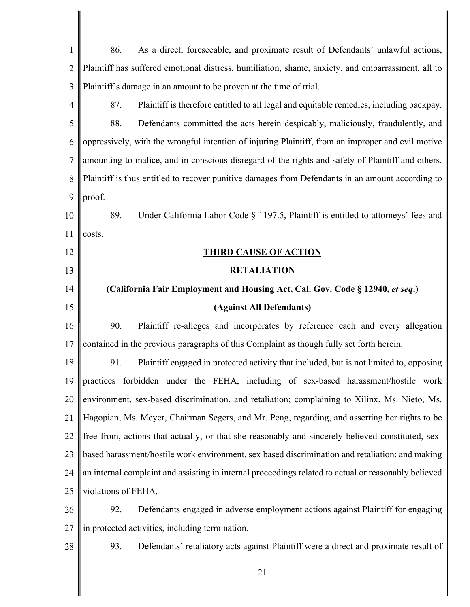| $\mathbf{1}$                     | 86.<br>As a direct, foreseeable, and proximate result of Defendants' unlawful actions,               |
|----------------------------------|------------------------------------------------------------------------------------------------------|
| $\overline{2}$                   | Plaintiff has suffered emotional distress, humiliation, shame, anxiety, and embarrassment, all to    |
| 3                                | Plaintiff's damage in an amount to be proven at the time of trial.                                   |
| 4                                | Plaintiff is therefore entitled to all legal and equitable remedies, including backpay.<br>87.       |
| 5                                | 88.<br>Defendants committed the acts herein despicably, maliciously, fraudulently, and               |
| 6                                | oppressively, with the wrongful intention of injuring Plaintiff, from an improper and evil motive    |
| 7                                | amounting to malice, and in conscious disregard of the rights and safety of Plaintiff and others.    |
| 8                                | Plaintiff is thus entitled to recover punitive damages from Defendants in an amount according to     |
| 9                                | proof.                                                                                               |
| 10                               | 89.<br>Under California Labor Code § 1197.5, Plaintiff is entitled to attorneys' fees and            |
| 11                               | costs.                                                                                               |
| 12                               | <b>THIRD CAUSE OF ACTION</b>                                                                         |
| 13                               | <b>RETALIATION</b>                                                                                   |
| 14                               | (California Fair Employment and Housing Act, Cal. Gov. Code § 12940, et seq.)                        |
| 15                               | (Against All Defendants)                                                                             |
| 16                               | 90.<br>Plaintiff re-alleges and incorporates by reference each and every allegation                  |
| 17                               | contained in the previous paragraphs of this Complaint as though fully set forth herein.             |
| 18                               | 91.<br>Plaintiff engaged in protected activity that included, but is not limited to, opposing        |
| 19                               | practices forbidden under the FEHA, including of sex-based harassment/hostile work                   |
| 20                               | environment, sex-based discrimination, and retaliation; complaining to Xilinx, Ms. Nieto, Ms.        |
| 21                               |                                                                                                      |
|                                  | Hagopian, Ms. Meyer, Chairman Segers, and Mr. Peng, regarding, and asserting her rights to be        |
|                                  | free from, actions that actually, or that she reasonably and sincerely believed constituted, sex-    |
|                                  | based harassment/hostile work environment, sex based discrimination and retaliation; and making      |
|                                  | an internal complaint and assisting in internal proceedings related to actual or reasonably believed |
|                                  | violations of FEHA.                                                                                  |
|                                  | Defendants engaged in adverse employment actions against Plaintiff for engaging<br>92.               |
| 22<br>23<br>24<br>25<br>26<br>27 | in protected activities, including termination.                                                      |
| 28                               | Defendants' retaliatory acts against Plaintiff were a direct and proximate result of<br>93.          |

I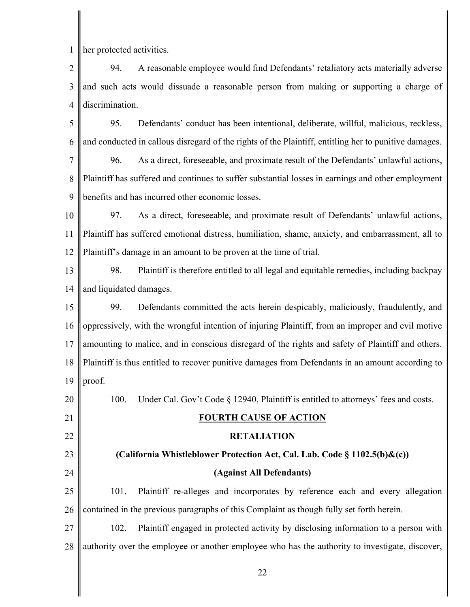1 her protected activities.

21

22

23

24

2 3 4 94. A reasonable employee would find Defendants' retaliatory acts materially adverse and such acts would dissuade a reasonable person from making or supporting a charge of discrimination.

5 6 7 8 9 95. Defendants' conduct has been intentional, deliberate, willful, malicious, reckless, and conducted in callous disregard of the rights of the Plaintiff, entitling her to punitive damages. 96. As a direct, foreseeable, and proximate result of the Defendants' unlawful actions, Plaintiff has suffered and continues to suffer substantial losses in earnings and other employment benefits and has incurred other economic losses.

10 11 12 97. As a direct, foreseeable, and proximate result of Defendants' unlawful actions, Plaintiff has suffered emotional distress, humiliation, shame, anxiety, and embarrassment, all to Plaintiff's damage in an amount to be proven at the time of trial.

13 14 98. Plaintiff is therefore entitled to all legal and equitable remedies, including backpay and liquidated damages.

15 16 17 18 19 99. Defendants committed the acts herein despicably, maliciously, fraudulently, and oppressively, with the wrongful intention of injuring Plaintiff, from an improper and evil motive amounting to malice, and in conscious disregard of the rights and safety of Plaintiff and others. Plaintiff is thus entitled to recover punitive damages from Defendants in an amount according to proof.

20 100. Under Cal. Gov't Code § 12940, Plaintiff is entitled to attorneys' fees and costs.

## **FOURTH CAUSE OF ACTION**

#### **RETALIATION**

# **(California Whistleblower Protection Act, Cal. Lab. Code § 1102.5(b)&(c))**

## **(Against All Defendants)**

25 26 101. Plaintiff re-alleges and incorporates by reference each and every allegation contained in the previous paragraphs of this Complaint as though fully set forth herein.

27 28 102. Plaintiff engaged in protected activity by disclosing information to a person with authority over the employee or another employee who has the authority to investigate, discover,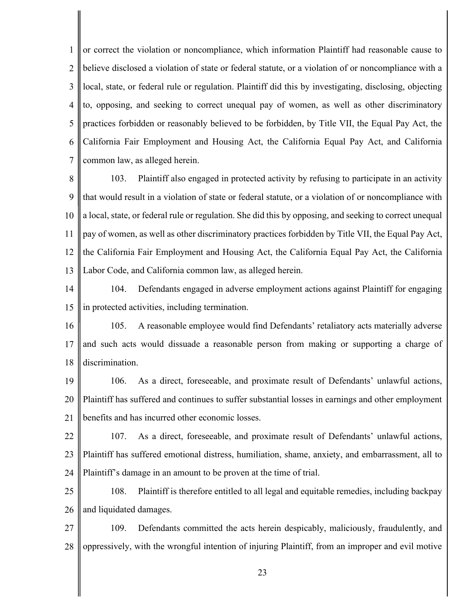1 2 3 4 5 6 7 or correct the violation or noncompliance, which information Plaintiff had reasonable cause to believe disclosed a violation of state or federal statute, or a violation of or noncompliance with a local, state, or federal rule or regulation. Plaintiff did this by investigating, disclosing, objecting to, opposing, and seeking to correct unequal pay of women, as well as other discriminatory practices forbidden or reasonably believed to be forbidden, by Title VII, the Equal Pay Act, the California Fair Employment and Housing Act, the California Equal Pay Act, and California common law, as alleged herein.

8 9 10 11 12 13 103. Plaintiff also engaged in protected activity by refusing to participate in an activity that would result in a violation of state or federal statute, or a violation of or noncompliance with a local, state, or federal rule or regulation. She did this by opposing, and seeking to correct unequal pay of women, as well as other discriminatory practices forbidden by Title VII, the Equal Pay Act, the California Fair Employment and Housing Act, the California Equal Pay Act, the California Labor Code, and California common law, as alleged herein.

- 14 15 104. Defendants engaged in adverse employment actions against Plaintiff for engaging in protected activities, including termination.
- 16 17 18 105. A reasonable employee would find Defendants' retaliatory acts materially adverse and such acts would dissuade a reasonable person from making or supporting a charge of discrimination.

19 20 21 106. As a direct, foreseeable, and proximate result of Defendants' unlawful actions, Plaintiff has suffered and continues to suffer substantial losses in earnings and other employment benefits and has incurred other economic losses.

- 22 23 24 107. As a direct, foreseeable, and proximate result of Defendants' unlawful actions, Plaintiff has suffered emotional distress, humiliation, shame, anxiety, and embarrassment, all to Plaintiff's damage in an amount to be proven at the time of trial.
- 25 26 108. Plaintiff is therefore entitled to all legal and equitable remedies, including backpay and liquidated damages.
- 27 28 109. Defendants committed the acts herein despicably, maliciously, fraudulently, and oppressively, with the wrongful intention of injuring Plaintiff, from an improper and evil motive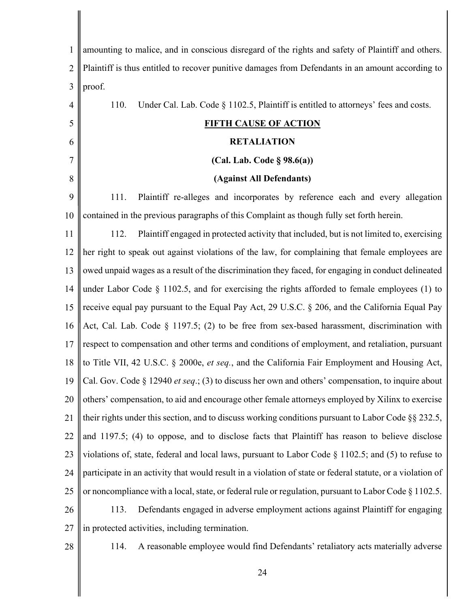| $\mathbf{1}$   | amounting to malice, and in conscious disregard of the rights and safety of Plaintiff and others.          |
|----------------|------------------------------------------------------------------------------------------------------------|
| $\overline{2}$ | Plaintiff is thus entitled to recover punitive damages from Defendants in an amount according to           |
| 3              | proof.                                                                                                     |
| 4              | Under Cal. Lab. Code § 1102.5, Plaintiff is entitled to attorneys' fees and costs.<br>110.                 |
| 5              | <b>FIFTH CAUSE OF ACTION</b>                                                                               |
| 6              | <b>RETALIATION</b>                                                                                         |
| 7              | (Cal. Lab. Code § 98.6(a))                                                                                 |
| 8              | (Against All Defendants)                                                                                   |
| 9              | Plaintiff re-alleges and incorporates by reference each and every allegation<br>111.                       |
| 10             | contained in the previous paragraphs of this Complaint as though fully set forth herein.                   |
| 11             | Plaintiff engaged in protected activity that included, but is not limited to, exercising<br>112.           |
| 12             | her right to speak out against violations of the law, for complaining that female employees are            |
| 13             | owed unpaid wages as a result of the discrimination they faced, for engaging in conduct delineated         |
| 14             | under Labor Code $\S$ 1102.5, and for exercising the rights afforded to female employees (1) to            |
| 15             | receive equal pay pursuant to the Equal Pay Act, 29 U.S.C. § 206, and the California Equal Pay             |
| 16             | Act, Cal. Lab. Code § 1197.5; (2) to be free from sex-based harassment, discrimination with                |
| 17             | respect to compensation and other terms and conditions of employment, and retaliation, pursuant            |
| 18             | to Title VII, 42 U.S.C. § 2000e, et seq., and the California Fair Employment and Housing Act,              |
| 19             | Cal. Gov. Code $\S 12940$ et seq.; (3) to discuss her own and others' compensation, to inquire about       |
| 20             | others' compensation, to aid and encourage other female attorneys employed by Xilinx to exercise           |
| 21             | their rights under this section, and to discuss working conditions pursuant to Labor Code $\S$ § 232.5,    |
| 22             | and 1197.5; (4) to oppose, and to disclose facts that Plaintiff has reason to believe disclose             |
| 23             | violations of, state, federal and local laws, pursuant to Labor Code $\S$ 1102.5; and (5) to refuse to     |
| 24             | participate in an activity that would result in a violation of state or federal statute, or a violation of |
| 25             | or noncompliance with a local, state, or federal rule or regulation, pursuant to Labor Code § 1102.5.      |
| 26             | Defendants engaged in adverse employment actions against Plaintiff for engaging<br>113.                    |
| 27             | in protected activities, including termination.                                                            |
| 28             | A reasonable employee would find Defendants' retaliatory acts materially adverse<br>114.                   |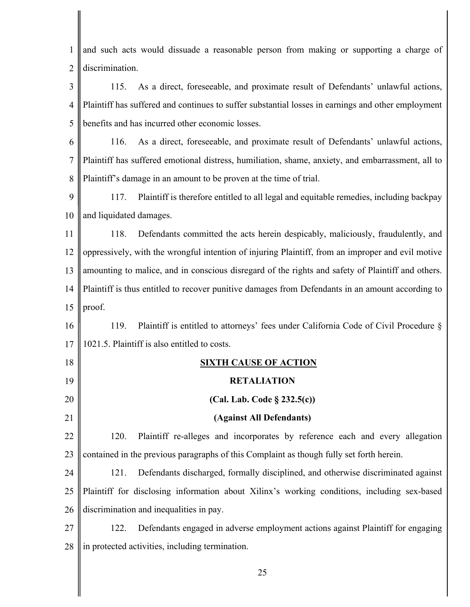| $\mathbf{1}$   | and such acts would dissuade a reasonable person from making or supporting a charge of             |
|----------------|----------------------------------------------------------------------------------------------------|
| $\overline{2}$ | discrimination.                                                                                    |
| 3              | As a direct, foreseeable, and proximate result of Defendants' unlawful actions,<br>115.            |
| $\overline{4}$ | Plaintiff has suffered and continues to suffer substantial losses in earnings and other employment |
| 5              | benefits and has incurred other economic losses.                                                   |
| 6              | As a direct, foreseeable, and proximate result of Defendants' unlawful actions,<br>116.            |
| 7              | Plaintiff has suffered emotional distress, humiliation, shame, anxiety, and embarrassment, all to  |
| 8              | Plaintiff's damage in an amount to be proven at the time of trial.                                 |
| 9              | Plaintiff is therefore entitled to all legal and equitable remedies, including backpay<br>117.     |
| 10             | and liquidated damages.                                                                            |
| 11             | 118.<br>Defendants committed the acts herein despicably, maliciously, fraudulently, and            |
| 12             | oppressively, with the wrongful intention of injuring Plaintiff, from an improper and evil motive  |
| 13             | amounting to malice, and in conscious disregard of the rights and safety of Plaintiff and others.  |
| 14             | Plaintiff is thus entitled to recover punitive damages from Defendants in an amount according to   |
| 15             | proof.                                                                                             |
| 16             | Plaintiff is entitled to attorneys' fees under California Code of Civil Procedure §<br>119.        |
| 17             | 1021.5. Plaintiff is also entitled to costs.                                                       |
| 18             | <b>SIXTH CAUSE OF ACTION</b>                                                                       |
| 19             | <b>RETALIATION</b>                                                                                 |
| 20             | (Cal. Lab. Code § 232.5(c))                                                                        |
| 21             | (Against All Defendants)                                                                           |
| 22             | Plaintiff re-alleges and incorporates by reference each and every allegation<br>120.               |
| 23             | contained in the previous paragraphs of this Complaint as though fully set forth herein.           |
| 24             | Defendants discharged, formally disciplined, and otherwise discriminated against<br>121.           |
| 25             | Plaintiff for disclosing information about Xilinx's working conditions, including sex-based        |
| 26             | discrimination and inequalities in pay.                                                            |
| 27             | Defendants engaged in adverse employment actions against Plaintiff for engaging<br>122.            |
| 28             | in protected activities, including termination.                                                    |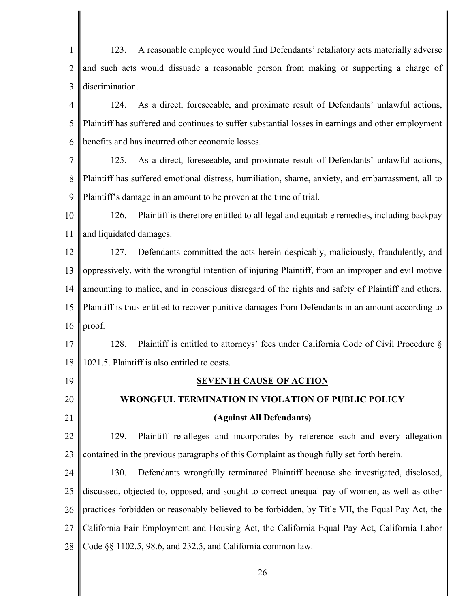1 2 3 4 5 6 7 8 9 10 11 12 13 14 15 16 17 18 19 20 21 22 23 24 25 26 27 28 123. A reasonable employee would find Defendants' retaliatory acts materially adverse and such acts would dissuade a reasonable person from making or supporting a charge of discrimination. 124. As a direct, foreseeable, and proximate result of Defendants' unlawful actions, Plaintiff has suffered and continues to suffer substantial losses in earnings and other employment benefits and has incurred other economic losses. 125. As a direct, foreseeable, and proximate result of Defendants' unlawful actions, Plaintiff has suffered emotional distress, humiliation, shame, anxiety, and embarrassment, all to Plaintiff's damage in an amount to be proven at the time of trial. 126. Plaintiff is therefore entitled to all legal and equitable remedies, including backpay and liquidated damages. 127. Defendants committed the acts herein despicably, maliciously, fraudulently, and oppressively, with the wrongful intention of injuring Plaintiff, from an improper and evil motive amounting to malice, and in conscious disregard of the rights and safety of Plaintiff and others. Plaintiff is thus entitled to recover punitive damages from Defendants in an amount according to proof. 128. Plaintiff is entitled to attorneys' fees under California Code of Civil Procedure § 1021.5. Plaintiff is also entitled to costs. **SEVENTH CAUSE OF ACTION WRONGFUL TERMINATION IN VIOLATION OF PUBLIC POLICY (Against All Defendants)**  129. Plaintiff re-alleges and incorporates by reference each and every allegation contained in the previous paragraphs of this Complaint as though fully set forth herein. 130. Defendants wrongfully terminated Plaintiff because she investigated, disclosed, discussed, objected to, opposed, and sought to correct unequal pay of women, as well as other practices forbidden or reasonably believed to be forbidden, by Title VII, the Equal Pay Act, the California Fair Employment and Housing Act, the California Equal Pay Act, California Labor Code §§ 1102.5, 98.6, and 232.5, and California common law.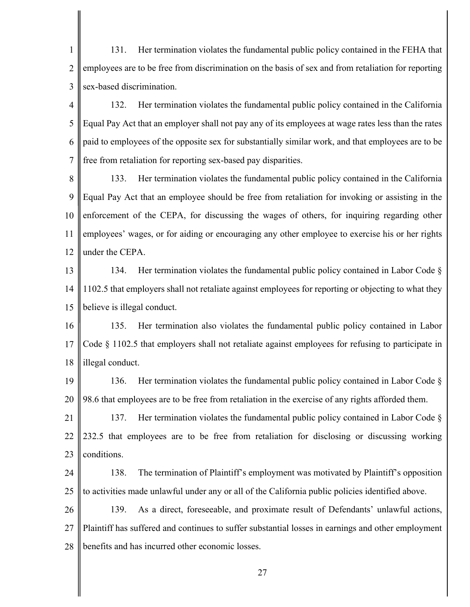1 2 3 131. Her termination violates the fundamental public policy contained in the FEHA that employees are to be free from discrimination on the basis of sex and from retaliation for reporting sex-based discrimination.

4 5 6 7 132. Her termination violates the fundamental public policy contained in the California Equal Pay Act that an employer shall not pay any of its employees at wage rates less than the rates paid to employees of the opposite sex for substantially similar work, and that employees are to be free from retaliation for reporting sex-based pay disparities.

8 9 10 11 12 133. Her termination violates the fundamental public policy contained in the California Equal Pay Act that an employee should be free from retaliation for invoking or assisting in the enforcement of the CEPA, for discussing the wages of others, for inquiring regarding other employees' wages, or for aiding or encouraging any other employee to exercise his or her rights under the CEPA.

13 14 15 134. Her termination violates the fundamental public policy contained in Labor Code § 1102.5 that employers shall not retaliate against employees for reporting or objecting to what they believe is illegal conduct.

16 17 18 135. Her termination also violates the fundamental public policy contained in Labor Code § 1102.5 that employers shall not retaliate against employees for refusing to participate in illegal conduct.

19 20 136. Her termination violates the fundamental public policy contained in Labor Code § 98.6 that employees are to be free from retaliation in the exercise of any rights afforded them.

21 22 23 137. Her termination violates the fundamental public policy contained in Labor Code § 232.5 that employees are to be free from retaliation for disclosing or discussing working conditions.

24 25 138. The termination of Plaintiff's employment was motivated by Plaintiff's opposition to activities made unlawful under any or all of the California public policies identified above.

26 27 28 139. As a direct, foreseeable, and proximate result of Defendants' unlawful actions, Plaintiff has suffered and continues to suffer substantial losses in earnings and other employment benefits and has incurred other economic losses.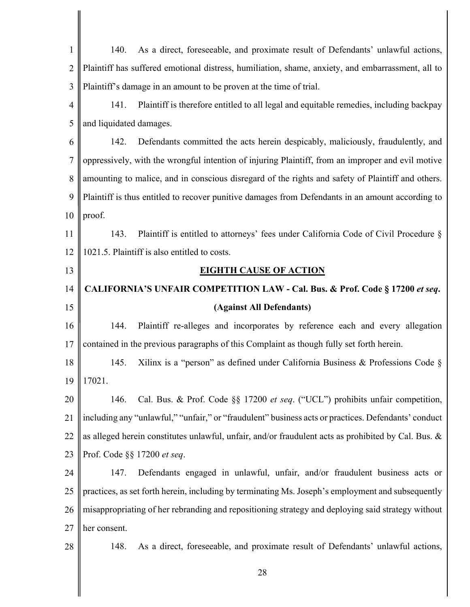| $\mathbf{1}$   | As a direct, foreseeable, and proximate result of Defendants' unlawful actions,<br>140.             |
|----------------|-----------------------------------------------------------------------------------------------------|
| $\overline{2}$ | Plaintiff has suffered emotional distress, humiliation, shame, anxiety, and embarrassment, all to   |
| 3              | Plaintiff's damage in an amount to be proven at the time of trial.                                  |
| 4              | Plaintiff is therefore entitled to all legal and equitable remedies, including backpay<br>141.      |
| 5              | and liquidated damages.                                                                             |
| 6              | Defendants committed the acts herein despicably, maliciously, fraudulently, and<br>142.             |
| $\tau$         | oppressively, with the wrongful intention of injuring Plaintiff, from an improper and evil motive   |
| 8              | amounting to malice, and in conscious disregard of the rights and safety of Plaintiff and others.   |
| 9              | Plaintiff is thus entitled to recover punitive damages from Defendants in an amount according to    |
| 10             | proof.                                                                                              |
| 11             | Plaintiff is entitled to attorneys' fees under California Code of Civil Procedure §<br>143.         |
| 12             | 1021.5. Plaintiff is also entitled to costs.                                                        |
| 13             | <b>EIGHTH CAUSE OF ACTION</b>                                                                       |
| 14             | CALIFORNIA'S UNFAIR COMPETITION LAW - Cal. Bus. & Prof. Code § 17200 et seq.                        |
| 15             | (Against All Defendants)                                                                            |
|                |                                                                                                     |
| 16             | Plaintiff re-alleges and incorporates by reference each and every allegation<br>144.                |
| 17             | contained in the previous paragraphs of this Complaint as though fully set forth herein.            |
| 18             | Xilinx is a "person" as defined under California Business & Professions Code $\S$<br>145.           |
| 19             | 17021.                                                                                              |
| 20             | Cal. Bus. & Prof. Code §§ 17200 et seq. ("UCL") prohibits unfair competition,<br>146.               |
| 21             | including any "unlawful," "unfair," or "fraudulent" business acts or practices. Defendants' conduct |
| 22             | as alleged herein constitutes unlawful, unfair, and/or fraudulent acts as prohibited by Cal. Bus. & |
| 23             | Prof. Code §§ 17200 et seq.                                                                         |
| 24             | Defendants engaged in unlawful, unfair, and/or fraudulent business acts or<br>147.                  |
| 25             | practices, as set forth herein, including by terminating Ms. Joseph's employment and subsequently   |
| 26             | misappropriating of her rebranding and repositioning strategy and deploying said strategy without   |
| 27             | her consent.                                                                                        |
| 28             | As a direct, foreseeable, and proximate result of Defendants' unlawful actions,<br>148.             |

I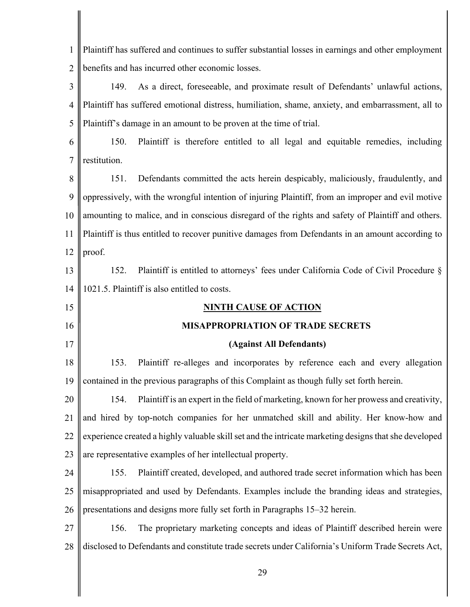1 2 3 4 5 6 7 8 9 10 11 12 13 14 15 16 17 18 19 20 21 22 23 24 25 26 27 28 Plaintiff has suffered and continues to suffer substantial losses in earnings and other employment benefits and has incurred other economic losses. 149. As a direct, foreseeable, and proximate result of Defendants' unlawful actions, Plaintiff has suffered emotional distress, humiliation, shame, anxiety, and embarrassment, all to Plaintiff's damage in an amount to be proven at the time of trial. 150. Plaintiff is therefore entitled to all legal and equitable remedies, including restitution. 151. Defendants committed the acts herein despicably, maliciously, fraudulently, and oppressively, with the wrongful intention of injuring Plaintiff, from an improper and evil motive amounting to malice, and in conscious disregard of the rights and safety of Plaintiff and others. Plaintiff is thus entitled to recover punitive damages from Defendants in an amount according to proof. 152. Plaintiff is entitled to attorneys' fees under California Code of Civil Procedure § 1021.5. Plaintiff is also entitled to costs. **NINTH CAUSE OF ACTION MISAPPROPRIATION OF TRADE SECRETS (Against All Defendants)**  153. Plaintiff re-alleges and incorporates by reference each and every allegation contained in the previous paragraphs of this Complaint as though fully set forth herein. 154. Plaintiff is an expert in the field of marketing, known for her prowess and creativity, and hired by top-notch companies for her unmatched skill and ability. Her know-how and experience created a highly valuable skill set and the intricate marketing designs that she developed are representative examples of her intellectual property. 155. Plaintiff created, developed, and authored trade secret information which has been misappropriated and used by Defendants. Examples include the branding ideas and strategies, presentations and designs more fully set forth in Paragraphs 15–32 herein. 156. The proprietary marketing concepts and ideas of Plaintiff described herein were disclosed to Defendants and constitute trade secrets under California's Uniform Trade Secrets Act,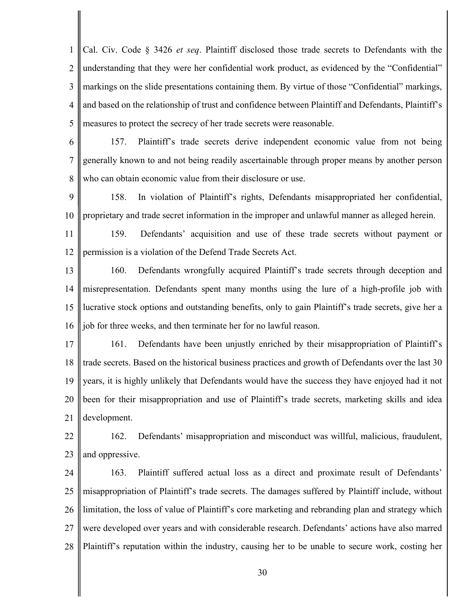1 2 3 4 5 Cal. Civ. Code § 3426 *et seq*. Plaintiff disclosed those trade secrets to Defendants with the understanding that they were her confidential work product, as evidenced by the "Confidential" markings on the slide presentations containing them. By virtue of those "Confidential" markings, and based on the relationship of trust and confidence between Plaintiff and Defendants, Plaintiff's measures to protect the secrecy of her trade secrets were reasonable.

6 7 8 157. Plaintiff's trade secrets derive independent economic value from not being generally known to and not being readily ascertainable through proper means by another person who can obtain economic value from their disclosure or use.

9 10 158. In violation of Plaintiff's rights, Defendants misappropriated her confidential, proprietary and trade secret information in the improper and unlawful manner as alleged herein.

11 12 159. Defendants' acquisition and use of these trade secrets without payment or permission is a violation of the Defend Trade Secrets Act.

13 14 15 16 160. Defendants wrongfully acquired Plaintiff's trade secrets through deception and misrepresentation. Defendants spent many months using the lure of a high-profile job with lucrative stock options and outstanding benefits, only to gain Plaintiff's trade secrets, give her a job for three weeks, and then terminate her for no lawful reason.

17 18 19 20 21 161. Defendants have been unjustly enriched by their misappropriation of Plaintiff's trade secrets. Based on the historical business practices and growth of Defendants over the last 30 years, it is highly unlikely that Defendants would have the success they have enjoyed had it not been for their misappropriation and use of Plaintiff's trade secrets, marketing skills and idea development.

22 23 162. Defendants' misappropriation and misconduct was willful, malicious, fraudulent, and oppressive.

24 25 26 27 28 163. Plaintiff suffered actual loss as a direct and proximate result of Defendants' misappropriation of Plaintiff's trade secrets. The damages suffered by Plaintiff include, without limitation, the loss of value of Plaintiff's core marketing and rebranding plan and strategy which were developed over years and with considerable research. Defendants' actions have also marred Plaintiff's reputation within the industry, causing her to be unable to secure work, costing her

30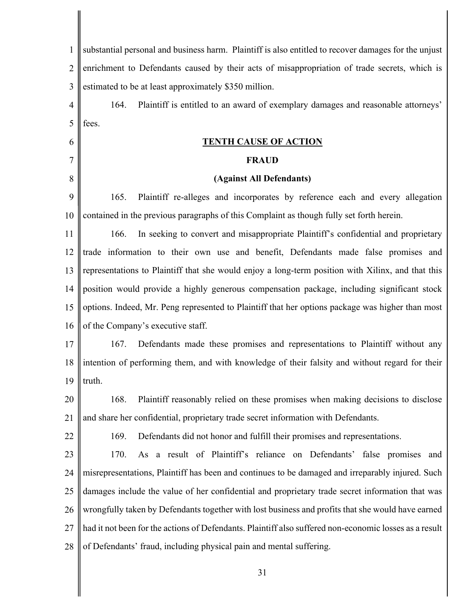| $\mathbf{1}$   | substantial personal and business harm. Plaintiff is also entitled to recover damages for the unjust   |
|----------------|--------------------------------------------------------------------------------------------------------|
| $\overline{2}$ | enrichment to Defendants caused by their acts of misappropriation of trade secrets, which is           |
| 3              | estimated to be at least approximately \$350 million.                                                  |
| $\overline{4}$ | Plaintiff is entitled to an award of exemplary damages and reasonable attorneys'<br>164.               |
| 5              | fees.                                                                                                  |
| 6              | <b>TENTH CAUSE OF ACTION</b>                                                                           |
| 7              | <b>FRAUD</b>                                                                                           |
| 8              | (Against All Defendants)                                                                               |
| 9              | Plaintiff re-alleges and incorporates by reference each and every allegation<br>165.                   |
| 10             | contained in the previous paragraphs of this Complaint as though fully set forth herein.               |
| 11             | In seeking to convert and misappropriate Plaintiff's confidential and proprietary<br>166.              |
| 12             | trade information to their own use and benefit, Defendants made false promises and                     |
| 13             | representations to Plaintiff that she would enjoy a long-term position with Xilinx, and that this      |
| 14             | position would provide a highly generous compensation package, including significant stock             |
| 15             | options. Indeed, Mr. Peng represented to Plaintiff that her options package was higher than most       |
| 16             | of the Company's executive staff.                                                                      |
| 17             | Defendants made these promises and representations to Plaintiff without any<br>167.                    |
| 18             | intention of performing them, and with knowledge of their falsity and without regard for their         |
| 19             | truth.                                                                                                 |
| 20             | Plaintiff reasonably relied on these promises when making decisions to disclose<br>168.                |
| 21             | and share her confidential, proprietary trade secret information with Defendants.                      |
| 22             | Defendants did not honor and fulfill their promises and representations.<br>169.                       |
| 23             | As a result of Plaintiff's reliance on Defendants' false promises and<br>170.                          |
| 24             | misrepresentations, Plaintiff has been and continues to be damaged and irreparably injured. Such       |
| 25             | damages include the value of her confidential and proprietary trade secret information that was        |
| 26             | wrongfully taken by Defendants together with lost business and profits that she would have earned      |
| 27             | had it not been for the actions of Defendants. Plaintiff also suffered non-economic losses as a result |
| 28             | of Defendants' fraud, including physical pain and mental suffering.                                    |
|                | 31                                                                                                     |

I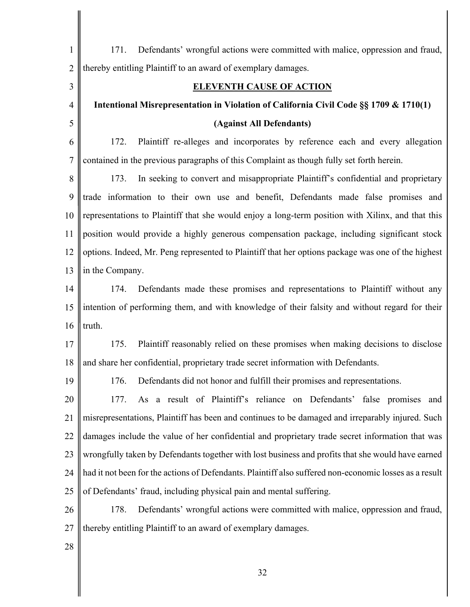| $\mathbf{1}$   | 171. Defendants' wrongful actions were committed with malice, oppression and fraud,                    |
|----------------|--------------------------------------------------------------------------------------------------------|
| $\overline{2}$ | thereby entitling Plaintiff to an award of exemplary damages.                                          |
| 3              | <b>ELEVENTH CAUSE OF ACTION</b>                                                                        |
| $\overline{4}$ | Intentional Misrepresentation in Violation of California Civil Code §§ 1709 & 1710(1)                  |
| 5              | (Against All Defendants)                                                                               |
| 6              | 172.<br>Plaintiff re-alleges and incorporates by reference each and every allegation                   |
| $\tau$         | contained in the previous paragraphs of this Complaint as though fully set forth herein.               |
| 8              | In seeking to convert and misappropriate Plaintiff's confidential and proprietary<br>173.              |
| 9              | trade information to their own use and benefit, Defendants made false promises and                     |
| 10             | representations to Plaintiff that she would enjoy a long-term position with Xilinx, and that this      |
| 11             | position would provide a highly generous compensation package, including significant stock             |
| 12             | options. Indeed, Mr. Peng represented to Plaintiff that her options package was one of the highest     |
| 13             | in the Company.                                                                                        |
| 14             | 174. Defendants made these promises and representations to Plaintiff without any                       |
| 15             | intention of performing them, and with knowledge of their falsity and without regard for their         |
| 16             | truth.                                                                                                 |
| 17             | Plaintiff reasonably relied on these promises when making decisions to disclose<br>175.                |
| 18             | and share her confidential, proprietary trade secret information with Defendants.                      |
| 19             | Defendants did not honor and fulfill their promises and representations.<br>176.                       |
| 20             | As a result of Plaintiff's reliance on Defendants' false promises and<br>177.                          |
| 21             | misrepresentations, Plaintiff has been and continues to be damaged and irreparably injured. Such       |
| 22             | damages include the value of her confidential and proprietary trade secret information that was        |
| 23             | wrongfully taken by Defendants together with lost business and profits that she would have earned      |
| 24             | had it not been for the actions of Defendants. Plaintiff also suffered non-economic losses as a result |
| 25             | of Defendants' fraud, including physical pain and mental suffering.                                    |
| 26             | Defendants' wrongful actions were committed with malice, oppression and fraud,<br>178.                 |
| 27             | thereby entitling Plaintiff to an award of exemplary damages.                                          |
| 28             |                                                                                                        |

32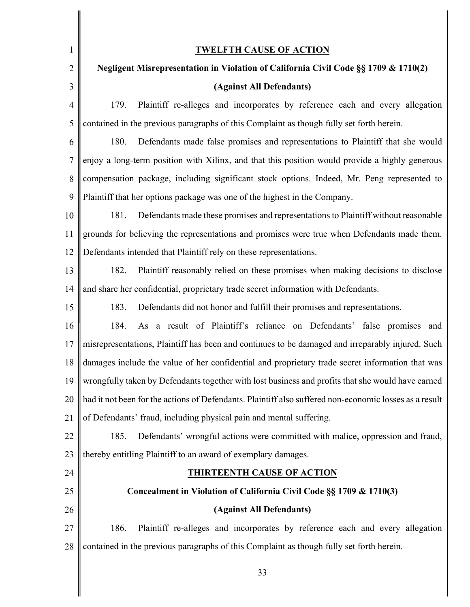| $\mathbf{1}$   | <b>TWELFTH CAUSE OF ACTION</b>                                                                         |  |  |  |  |
|----------------|--------------------------------------------------------------------------------------------------------|--|--|--|--|
| $\overline{2}$ | Negligent Misrepresentation in Violation of California Civil Code §§ 1709 & 1710(2)                    |  |  |  |  |
| 3              | (Against All Defendants)                                                                               |  |  |  |  |
| $\overline{4}$ | Plaintiff re-alleges and incorporates by reference each and every allegation<br>179.                   |  |  |  |  |
| 5              | contained in the previous paragraphs of this Complaint as though fully set forth herein.               |  |  |  |  |
| 6              | Defendants made false promises and representations to Plaintiff that she would<br>180.                 |  |  |  |  |
| $\tau$         | enjoy a long-term position with Xilinx, and that this position would provide a highly generous         |  |  |  |  |
| 8              | compensation package, including significant stock options. Indeed, Mr. Peng represented to             |  |  |  |  |
| 9              | Plaintiff that her options package was one of the highest in the Company.                              |  |  |  |  |
| 10             | Defendants made these promises and representations to Plaintiff without reasonable<br>181.             |  |  |  |  |
| 11             | grounds for believing the representations and promises were true when Defendants made them.            |  |  |  |  |
| 12             | Defendants intended that Plaintiff rely on these representations.                                      |  |  |  |  |
| 13             | Plaintiff reasonably relied on these promises when making decisions to disclose<br>182.                |  |  |  |  |
| 14             | and share her confidential, proprietary trade secret information with Defendants.                      |  |  |  |  |
| 15             | 183.<br>Defendants did not honor and fulfill their promises and representations.                       |  |  |  |  |
| 16             | As a result of Plaintiff's reliance on Defendants' false promises and<br>184.                          |  |  |  |  |
| 17             | misrepresentations, Plaintiff has been and continues to be damaged and irreparably injured. Such       |  |  |  |  |
| 18             | damages include the value of her confidential and proprietary trade secret information that was        |  |  |  |  |
| 19             | wrongfully taken by Defendants together with lost business and profits that she would have earned      |  |  |  |  |
| 20             | had it not been for the actions of Defendants. Plaintiff also suffered non-economic losses as a result |  |  |  |  |
| 21             | of Defendants' fraud, including physical pain and mental suffering.                                    |  |  |  |  |
| 22             | Defendants' wrongful actions were committed with malice, oppression and fraud,<br>185.                 |  |  |  |  |
| 23             | thereby entitling Plaintiff to an award of exemplary damages.                                          |  |  |  |  |
| 24             | <u>THIRTEENTH CAUSE OF ACTION</u>                                                                      |  |  |  |  |
| 25             | Concealment in Violation of California Civil Code §§ 1709 & 1710(3)                                    |  |  |  |  |
| 26             | (Against All Defendants)                                                                               |  |  |  |  |
| 27             | 186.<br>Plaintiff re-alleges and incorporates by reference each and every allegation                   |  |  |  |  |
| 28             | contained in the previous paragraphs of this Complaint as though fully set forth herein.               |  |  |  |  |
|                |                                                                                                        |  |  |  |  |

II

33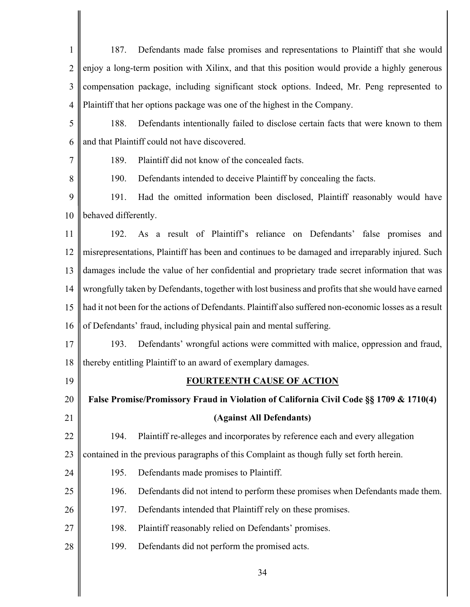| $\mathbf{1}$   | 187.                                                                                                   | Defendants made false promises and representations to Plaintiff that she would |  |  |  |  |
|----------------|--------------------------------------------------------------------------------------------------------|--------------------------------------------------------------------------------|--|--|--|--|
| $\overline{2}$ | enjoy a long-term position with Xilinx, and that this position would provide a highly generous         |                                                                                |  |  |  |  |
| 3              | compensation package, including significant stock options. Indeed, Mr. Peng represented to             |                                                                                |  |  |  |  |
| 4              | Plaintiff that her options package was one of the highest in the Company.                              |                                                                                |  |  |  |  |
| 5              | 188.<br>Defendants intentionally failed to disclose certain facts that were known to them              |                                                                                |  |  |  |  |
| 6              | and that Plaintiff could not have discovered.                                                          |                                                                                |  |  |  |  |
| 7              | 189.                                                                                                   | Plaintiff did not know of the concealed facts.                                 |  |  |  |  |
| 8              | 190.                                                                                                   | Defendants intended to deceive Plaintiff by concealing the facts.              |  |  |  |  |
| 9              | 191.                                                                                                   | Had the omitted information been disclosed, Plaintiff reasonably would have    |  |  |  |  |
| 10             | behaved differently.                                                                                   |                                                                                |  |  |  |  |
| 11             | 192.                                                                                                   | As a result of Plaintiff's reliance on Defendants' false promises and          |  |  |  |  |
| 12             | misrepresentations, Plaintiff has been and continues to be damaged and irreparably injured. Such       |                                                                                |  |  |  |  |
| 13             | damages include the value of her confidential and proprietary trade secret information that was        |                                                                                |  |  |  |  |
| 14             | wrongfully taken by Defendants, together with lost business and profits that she would have earned     |                                                                                |  |  |  |  |
| 15             | had it not been for the actions of Defendants. Plaintiff also suffered non-economic losses as a result |                                                                                |  |  |  |  |
| 16             | of Defendants' fraud, including physical pain and mental suffering.                                    |                                                                                |  |  |  |  |
| 17             | 193.                                                                                                   | Defendants' wrongful actions were committed with malice, oppression and fraud, |  |  |  |  |
| 18             | thereby entitling Plaintiff to an award of exemplary damages.                                          |                                                                                |  |  |  |  |
| 19             | <b>FOURTEENTH CAUSE OF ACTION</b>                                                                      |                                                                                |  |  |  |  |
| 20             | False Promise/Promissory Fraud in Violation of California Civil Code §§ 1709 & 1710(4)                 |                                                                                |  |  |  |  |
| 21             |                                                                                                        | (Against All Defendants)                                                       |  |  |  |  |
| 22             | 194.                                                                                                   | Plaintiff re-alleges and incorporates by reference each and every allegation   |  |  |  |  |
| 23             | contained in the previous paragraphs of this Complaint as though fully set forth herein.               |                                                                                |  |  |  |  |
| 24             | 195.                                                                                                   | Defendants made promises to Plaintiff.                                         |  |  |  |  |
| 25             | 196.                                                                                                   | Defendants did not intend to perform these promises when Defendants made them. |  |  |  |  |
| 26             | 197.                                                                                                   | Defendants intended that Plaintiff rely on these promises.                     |  |  |  |  |
| 27             | 198.                                                                                                   | Plaintiff reasonably relied on Defendants' promises.                           |  |  |  |  |
| 28             | 199.                                                                                                   | Defendants did not perform the promised acts.                                  |  |  |  |  |
|                |                                                                                                        | 34                                                                             |  |  |  |  |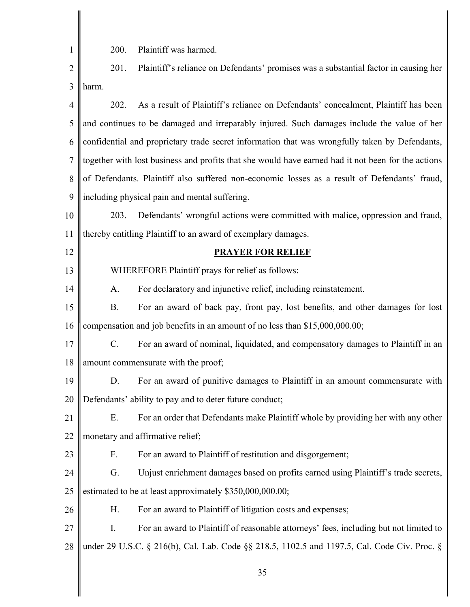200. Plaintiff was harmed.

1

12

13

14

26

2 3 201. Plaintiff's reliance on Defendants' promises was a substantial factor in causing her harm.

4 5 6 7 8 9 202. As a result of Plaintiff's reliance on Defendants' concealment, Plaintiff has been and continues to be damaged and irreparably injured. Such damages include the value of her confidential and proprietary trade secret information that was wrongfully taken by Defendants, together with lost business and profits that she would have earned had it not been for the actions of Defendants. Plaintiff also suffered non-economic losses as a result of Defendants' fraud, including physical pain and mental suffering.

10 11 203. Defendants' wrongful actions were committed with malice, oppression and fraud, thereby entitling Plaintiff to an award of exemplary damages.

# **PRAYER FOR RELIEF**

WHEREFORE Plaintiff prays for relief as follows:

A. For declaratory and injunctive relief, including reinstatement.

15 16 B. For an award of back pay, front pay, lost benefits, and other damages for lost compensation and job benefits in an amount of no less than \$15,000,000.00;

17 18 C. For an award of nominal, liquidated, and compensatory damages to Plaintiff in an amount commensurate with the proof;

19 20 D. For an award of punitive damages to Plaintiff in an amount commensurate with Defendants' ability to pay and to deter future conduct;

21 22 E. For an order that Defendants make Plaintiff whole by providing her with any other monetary and affirmative relief;

- 23 F. For an award to Plaintiff of restitution and disgorgement;
- 24 25 G. Unjust enrichment damages based on profits earned using Plaintiff's trade secrets, estimated to be at least approximately \$350,000,000.00;

H. For an award to Plaintiff of litigation costs and expenses;

27 28 I. For an award to Plaintiff of reasonable attorneys' fees, including but not limited to under 29 U.S.C. § 216(b), Cal. Lab. Code §§ 218.5, 1102.5 and 1197.5, Cal. Code Civ. Proc. §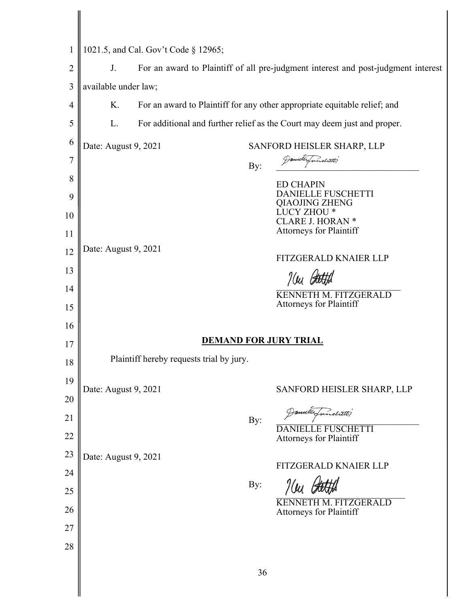| 1021.5, and Cal. Gov't Code § 12965;                                           |                                                                                   |                                                                      |                                                         |  |  |  |  |
|--------------------------------------------------------------------------------|-----------------------------------------------------------------------------------|----------------------------------------------------------------------|---------------------------------------------------------|--|--|--|--|
| J.                                                                             | For an award to Plaintiff of all pre-judgment interest and post-judgment interest |                                                                      |                                                         |  |  |  |  |
|                                                                                | available under law;                                                              |                                                                      |                                                         |  |  |  |  |
| K.                                                                             | For an award to Plaintiff for any other appropriate equitable relief; and         |                                                                      |                                                         |  |  |  |  |
| L.<br>For additional and further relief as the Court may deem just and proper. |                                                                                   |                                                                      |                                                         |  |  |  |  |
| Date: August 9, 2021                                                           |                                                                                   |                                                                      | SANFORD HEISLER SHARP, LLP                              |  |  |  |  |
|                                                                                |                                                                                   | By:                                                                  | Januar Tunelitt                                         |  |  |  |  |
|                                                                                |                                                                                   |                                                                      | <b>ED CHAPIN</b>                                        |  |  |  |  |
|                                                                                |                                                                                   |                                                                      | <b>DANIELLE FUSCHETTI</b><br><b>QIAOJING ZHENG</b>      |  |  |  |  |
|                                                                                |                                                                                   |                                                                      | <b>LUCY ZHOU *</b><br><b>CLARE J. HORAN *</b>           |  |  |  |  |
|                                                                                |                                                                                   |                                                                      | <b>Attorneys for Plaintiff</b>                          |  |  |  |  |
|                                                                                |                                                                                   |                                                                      | <b>FITZGERALD KNAIER LLP</b>                            |  |  |  |  |
|                                                                                |                                                                                   |                                                                      | 'Ilu ( <del>A</del>                                     |  |  |  |  |
|                                                                                |                                                                                   |                                                                      | <b>KENNETH M. FITZGERALD</b><br>Attorneys for Plaintiff |  |  |  |  |
|                                                                                |                                                                                   |                                                                      |                                                         |  |  |  |  |
|                                                                                | <b>DEMAND FOR JURY TRIAL</b>                                                      |                                                                      |                                                         |  |  |  |  |
|                                                                                |                                                                                   |                                                                      |                                                         |  |  |  |  |
|                                                                                |                                                                                   |                                                                      |                                                         |  |  |  |  |
|                                                                                |                                                                                   |                                                                      | SANFORD HEISLER SHARP, LLP                              |  |  |  |  |
|                                                                                |                                                                                   |                                                                      |                                                         |  |  |  |  |
|                                                                                |                                                                                   |                                                                      | <b>DANIELLE FUSCHETTI</b><br>Attorneys for Plaintiff    |  |  |  |  |
|                                                                                |                                                                                   |                                                                      |                                                         |  |  |  |  |
|                                                                                |                                                                                   |                                                                      | FITZGERALD KNAIER LLP                                   |  |  |  |  |
|                                                                                |                                                                                   | By:                                                                  |                                                         |  |  |  |  |
|                                                                                |                                                                                   |                                                                      | <b>KENNETH M. FITZGERALD</b><br>Attorneys for Plaintiff |  |  |  |  |
|                                                                                |                                                                                   |                                                                      |                                                         |  |  |  |  |
|                                                                                |                                                                                   |                                                                      |                                                         |  |  |  |  |
|                                                                                |                                                                                   | 36                                                                   |                                                         |  |  |  |  |
|                                                                                |                                                                                   | Date: August 9, 2021<br>Date: August 9, 2021<br>Date: August 9, 2021 | Plaintiff hereby requests trial by jury.<br>By:         |  |  |  |  |

 $\mathbb{I}$